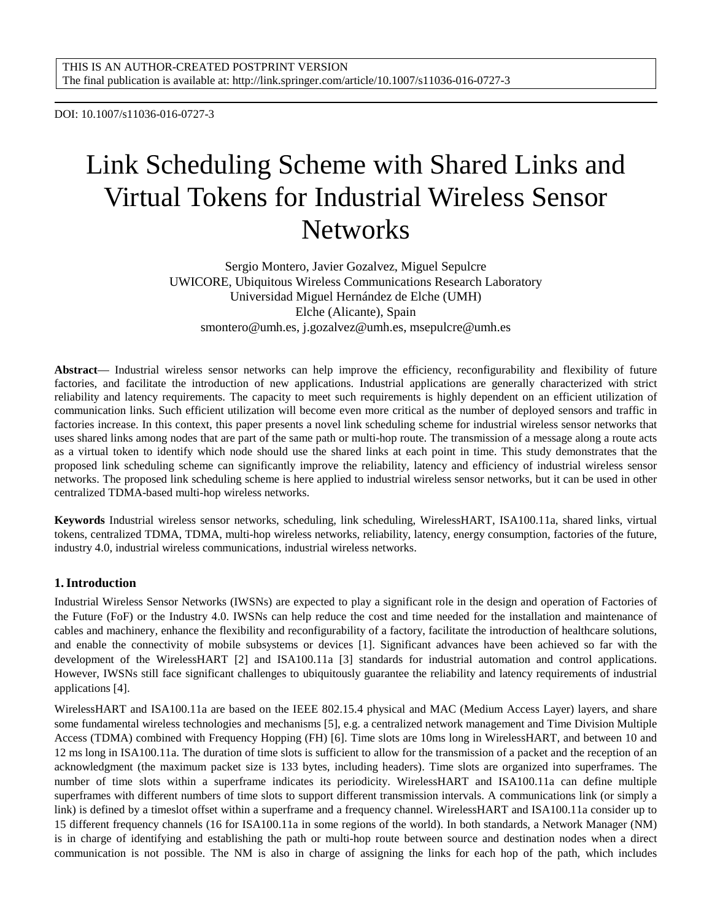THIS IS AN AUTHOR-CREATED POSTPRINT VERSION The final publication is available at:<http://link.springer.com/article/10.1007/s11036-016-0727-3>

DOI: 10.1007/s11036-016-0727-3

# Link Scheduling Scheme with Shared Links and Virtual Tokens for Industrial Wireless Sensor **Networks**

Sergio Montero, Javier Gozalvez, Miguel Sepulcre UWICORE, Ubiquitous Wireless Communications Research Laboratory Universidad Miguel Hernández de Elche (UMH) Elche (Alicante), Spain smontero@umh.es, j.gozalvez@umh.es, msepulcre@umh.es

**Abstract**— Industrial wireless sensor networks can help improve the efficiency, reconfigurability and flexibility of future factories, and facilitate the introduction of new applications. Industrial applications are generally characterized with strict reliability and latency requirements. The capacity to meet such requirements is highly dependent on an efficient utilization of communication links. Such efficient utilization will become even more critical as the number of deployed sensors and traffic in factories increase. In this context, this paper presents a novel link scheduling scheme for industrial wireless sensor networks that uses shared links among nodes that are part of the same path or multi-hop route. The transmission of a message along a route acts as a virtual token to identify which node should use the shared links at each point in time. This study demonstrates that the proposed link scheduling scheme can significantly improve the reliability, latency and efficiency of industrial wireless sensor networks. The proposed link scheduling scheme is here applied to industrial wireless sensor networks, but it can be used in other centralized TDMA-based multi-hop wireless networks.

**Keywords** Industrial wireless sensor networks, scheduling, link scheduling, WirelessHART, ISA100.11a, shared links, virtual tokens, centralized TDMA, TDMA, multi-hop wireless networks, reliability, latency, energy consumption, factories of the future, industry 4.0, industrial wireless communications, industrial wireless networks.

# **1.Introduction**

Industrial Wireless Sensor Networks (IWSNs) are expected to play a significant role in the design and operation of Factories of the Future (FoF) or the Industry 4.0. IWSNs can help reduce the cost and time needed for the installation and maintenance of cables and machinery, enhance the flexibility and reconfigurability of a factory, facilitate the introduction of healthcare solutions, and enable the connectivity of mobile subsystems or devices [\[1\].](#page-16-0) Significant advances have been achieved so far with the development of the WirelessHART [\[2\]](#page-16-1) and ISA100.11a [\[3\]](#page-16-2) standards for industrial automation and control applications. However, IWSNs still face significant challenges to ubiquitously guarantee the reliability and latency requirements of industrial application[s \[4\].](#page-16-3)

WirelessHART and ISA100.11a are based on the IEEE 802.15.4 physical and MAC (Medium Access Layer) layers, and share some fundamental wireless technologies and mechanism[s \[5\],](#page-16-4) e.g. a centralized network management and Time Division Multiple Access (TDMA) combined with Frequency Hopping (FH) [\[6\].](#page-16-5) Time slots are 10ms long in WirelessHART, and between 10 and 12 ms long in ISA100.11a. The duration of time slots is sufficient to allow for the transmission of a packet and the reception of an acknowledgment (the maximum packet size is 133 bytes, including headers). Time slots are organized into superframes. The number of time slots within a superframe indicates its periodicity. WirelessHART and ISA100.11a can define multiple superframes with different numbers of time slots to support different transmission intervals. A communications link (or simply a link) is defined by a timeslot offset within a superframe and a frequency channel. WirelessHART and ISA100.11a consider up to 15 different frequency channels (16 for ISA100.11a in some regions of the world). In both standards, a Network Manager (NM) is in charge of identifying and establishing the path or multi-hop route between source and destination nodes when a direct communication is not possible. The NM is also in charge of assigning the links for each hop of the path, which includes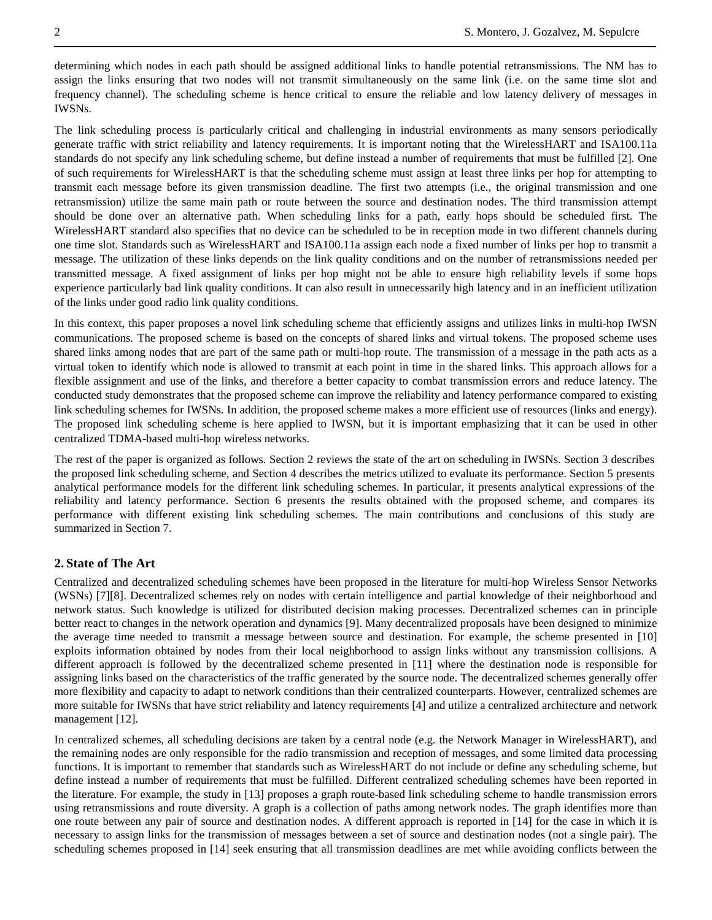determining which nodes in each path should be assigned additional links to handle potential retransmissions. The NM has to assign the links ensuring that two nodes will not transmit simultaneously on the same link (i.e. on the same time slot and frequency channel). The scheduling scheme is hence critical to ensure the reliable and low latency delivery of messages in IWSNs.

The link scheduling process is particularly critical and challenging in industrial environments as many sensors periodically generate traffic with strict reliability and latency requirements. It is important noting that the WirelessHART and ISA100.11a standards do not specify any link scheduling scheme, but define instead a number of requirements that must be fulfilled [\[2\].](#page-16-1) One of such requirements for WirelessHART is that the scheduling scheme must assign at least three links per hop for attempting to transmit each message before its given transmission deadline. The first two attempts (i.e., the original transmission and one retransmission) utilize the same main path or route between the source and destination nodes. The third transmission attempt should be done over an alternative path. When scheduling links for a path, early hops should be scheduled first. The WirelessHART standard also specifies that no device can be scheduled to be in reception mode in two different channels during one time slot. Standards such as WirelessHART and ISA100.11a assign each node a fixed number of links per hop to transmit a message. The utilization of these links depends on the link quality conditions and on the number of retransmissions needed per transmitted message. A fixed assignment of links per hop might not be able to ensure high reliability levels if some hops experience particularly bad link quality conditions. It can also result in unnecessarily high latency and in an inefficient utilization of the links under good radio link quality conditions.

In this context, this paper proposes a novel link scheduling scheme that efficiently assigns and utilizes links in multi-hop IWSN communications. The proposed scheme is based on the concepts of shared links and virtual tokens. The proposed scheme uses shared links among nodes that are part of the same path or multi-hop route. The transmission of a message in the path acts as a virtual token to identify which node is allowed to transmit at each point in time in the shared links. This approach allows for a flexible assignment and use of the links, and therefore a better capacity to combat transmission errors and reduce latency. The conducted study demonstrates that the proposed scheme can improve the reliability and latency performance compared to existing link scheduling schemes for IWSNs. In addition, the proposed scheme makes a more efficient use of resources (links and energy). The proposed link scheduling scheme is here applied to IWSN, but it is important emphasizing that it can be used in other centralized TDMA-based multi-hop wireless networks.

The rest of the paper is organized as follows. Section [2](#page-1-0) reviews the state of the art on scheduling in IWSNs. Section [3](#page-2-0) describes the proposed link scheduling scheme, and Section [4](#page-4-0) describes the metrics utilized to evaluate its performance. Section [5](#page-4-0) presents analytical performance models for the different link scheduling schemes. In particular, it presents analytical expressions of the reliability and latency performance. Section [6](#page-6-0) presents the results obtained with the proposed scheme, and compares its performance with different existing link scheduling schemes. The main contributions and conclusions of this study are summarized in Section [7.](#page-15-0)

# <span id="page-1-0"></span>**2. State of The Art**

Centralized and decentralized scheduling schemes have been proposed in the literature for multi-hop Wireless Sensor Networks (WSNs) [\[7\]\[8\].](#page-16-6) Decentralized schemes rely on nodes with certain intelligence and partial knowledge of their neighborhood and network status. Such knowledge is utilized for distributed decision making processes. Decentralized schemes can in principle better react to changes in the network operation and dynamics [\[9\].](#page-16-7) Many decentralized proposals have been designed to minimize the average time needed to transmit a message between source and destination. For example, the scheme presented in [\[10\]](#page-16-8) exploits information obtained by nodes from their local neighborhood to assign links without any transmission collisions. A different approach is followed by the decentralized scheme presented in [\[11\]](#page-16-9) where the destination node is responsible for assigning links based on the characteristics of the traffic generated by the source node. The decentralized schemes generally offer more flexibility and capacity to adapt to network conditions than their centralized counterparts. However, centralized schemes are more suitable for IWSNs that have strict reliability and latency requirements [\[4\]](#page-16-3) and utilize a centralized architecture and network managemen[t \[12\].](#page-16-10)

In centralized schemes, all scheduling decisions are taken by a central node (e.g. the Network Manager in WirelessHART), and the remaining nodes are only responsible for the radio transmission and reception of messages, and some limited data processing functions. It is important to remember that standards such as WirelessHART do not include or define any scheduling scheme, but define instead a number of requirements that must be fulfilled. Different centralized scheduling schemes have been reported in the literature. For example, the study in [\[13\]](#page-16-11) proposes a graph route-based link scheduling scheme to handle transmission errors using retransmissions and route diversity. A graph is a collection of paths among network nodes. The graph identifies more than one route between any pair of source and destination nodes. A different approach is reported in [\[14\]](#page-16-12) for the case in which it is necessary to assign links for the transmission of messages between a set of source and destination nodes (not a single pair). The scheduling schemes proposed in [\[14\]](#page-16-12) seek ensuring that all transmission deadlines are met while avoiding conflicts between the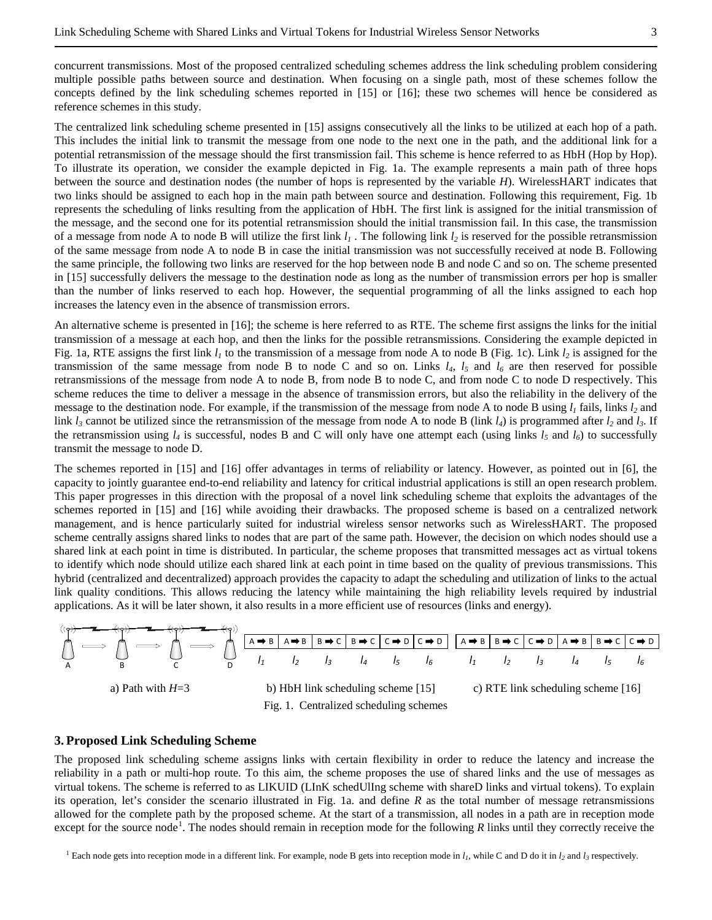concurrent transmissions. Most of the proposed centralized scheduling schemes address the link scheduling problem considering multiple possible paths between source and destination. When focusing on a single path, most of these schemes follow the concepts defined by the link scheduling schemes reported in [\[15\]](#page-16-13) or [\[16\];](#page-16-14) these two schemes will hence be considered as reference schemes in this study.

The centralized link scheduling scheme presented in [\[15\]](#page-16-13) assigns consecutively all the links to be utilized at each hop of a path. This includes the initial link to transmit the message from one node to the next one in the path, and the additional link for a potential retransmission of the message should the first transmission fail. This scheme is hence referred to as HbH (Hop by Hop). To illustrate its operation, we consider the example depicted in [Fig. 1a](#page-2-1). The example represents a main path of three hops between the source and destination nodes (the number of hops is represented by the variable *H*). WirelessHART indicates that two links should be assigned to each hop in the main path between source and destination. Following this requirement, [Fig. 1b](#page-2-1) represents the scheduling of links resulting from the application of HbH. The first link is assigned for the initial transmission of the message, and the second one for its potential retransmission should the initial transmission fail. In this case, the transmission of a message from node A to node B will utilize the first link  $l_1$ . The following link  $l_2$  is reserved for the possible retransmission of the same message from node A to node B in case the initial transmission was not successfully received at node B. Following the same principle, the following two links are reserved for the hop between node B and node C and so on. The scheme presented in [\[15\]](#page-16-13) successfully delivers the message to the destination node as long as the number of transmission errors per hop is smaller than the number of links reserved to each hop. However, the sequential programming of all the links assigned to each hop increases the latency even in the absence of transmission errors.

An alternative scheme is presented in [\[16\];](#page-16-14) the scheme is here referred to as RTE. The scheme first assigns the links for the initial transmission of a message at each hop, and then the links for the possible retransmissions. Considering the example depicted in [Fig. 1a](#page-2-1), RTE assigns the first link  $l_1$  to the transmission of a message from node A to node B [\(Fig. 1c](#page-2-1)). Link  $l_2$  is assigned for the transmission of the same message from node B to node C and so on. Links  $l_4$ ,  $l_5$  and  $l_6$  are then reserved for possible retransmissions of the message from node A to node B, from node B to node C, and from node C to node D respectively. This scheme reduces the time to deliver a message in the absence of transmission errors, but also the reliability in the delivery of the message to the destination node. For example, if the transmission of the message from node A to node B using  $l_1$  fails, links  $l_2$  and link  $l_3$  cannot be utilized since the retransmission of the message from node A to node B (link  $l_4$ ) is programmed after  $l_2$  and  $l_3$ . If the retransmission using  $l_4$  is successful, nodes B and C will only have one attempt each (using links  $l_5$  and  $l_6$ ) to successfully transmit the message to node D.

The schemes reported in [\[15\]](#page-16-13) and [\[16\]](#page-16-14) offer advantages in terms of reliability or latency. However, as pointed out in [\[6\],](#page-16-5) the capacity to jointly guarantee end-to-end reliability and latency for critical industrial applications is still an open research problem. This paper progresses in this direction with the proposal of a novel link scheduling scheme that exploits the advantages of the schemes reported in [\[15\]](#page-16-13) and [\[16\]](#page-16-14) while avoiding their drawbacks. The proposed scheme is based on a centralized network management, and is hence particularly suited for industrial wireless sensor networks such as WirelessHART. The proposed scheme centrally assigns shared links to nodes that are part of the same path. However, the decision on which nodes should use a shared link at each point in time is distributed. In particular, the scheme proposes that transmitted messages act as virtual tokens to identify which node should utilize each shared link at each point in time based on the quality of previous transmissions. This hybrid (centralized and decentralized) approach provides the capacity to adapt the scheduling and utilization of links to the actual link quality conditions. This allows reducing the latency while maintaining the high reliability levels required by industrial applications. As it will be later shown, it also results in a more efficient use of resources (links and energy).



#### <span id="page-2-1"></span><span id="page-2-0"></span>**3. Proposed Link Scheduling Scheme**

The proposed link scheduling scheme assigns links with certain flexibility in order to reduce the latency and increase the reliability in a path or multi-hop route. To this aim, the scheme proposes the use of shared links and the use of messages as virtual tokens. The scheme is referred to as LIKUID (LInK schedUlIng scheme with shareD links and virtual tokens). To explain its operation, let's consider the scenario illustrated in Fig. 1a. and define *R* as the total number of message retransmissions allowed for the complete path by the proposed scheme. At the start of a transmission, all nodes in a path are in reception mode except for the source node<sup>[1](#page-2-2)</sup>. The nodes should remain in reception mode for the following  $R$  links until they correctly receive the

<span id="page-2-2"></span><sup>1</sup> Each node gets into reception mode in a different link. For example, node B gets into reception mode in  $l_1$ , while C and D do it in  $l_2$  and  $l_3$  respectively.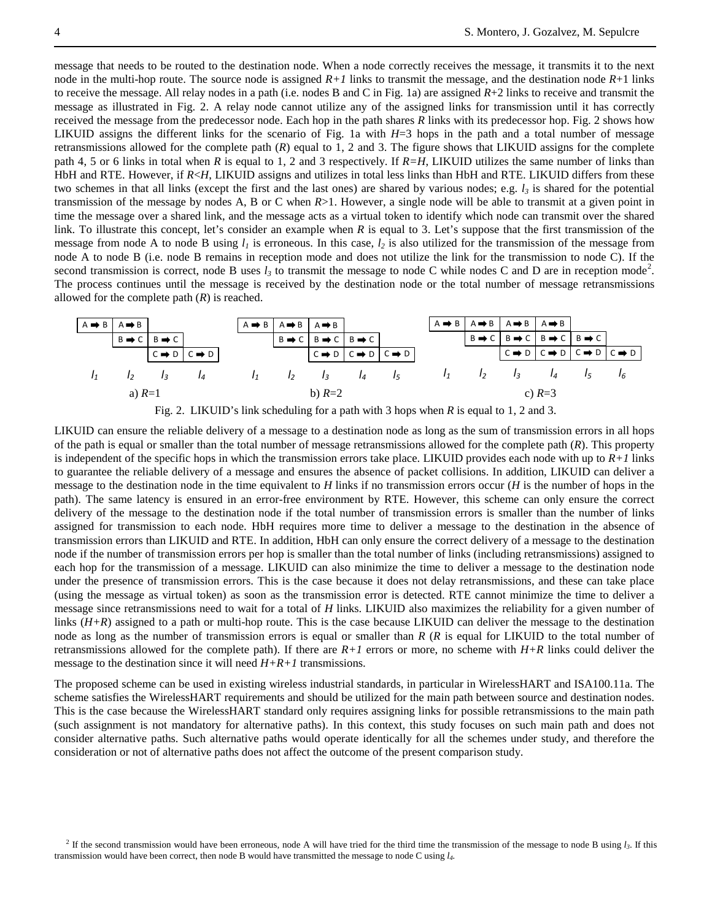message that needs to be routed to the destination node. When a node correctly receives the message, it transmits it to the next node in the multi-hop route. The source node is assigned *R+1* links to transmit the message, and the destination node *R*+1 links to receive the message. All relay nodes in a path (i.e. nodes B and C in [Fig. 1a](#page-2-1)) are assigned *R*+2 links to receive and transmit the message as illustrated in [Fig. 2.](#page-3-0) A relay node cannot utilize any of the assigned links for transmission until it has correctly received the message from the predecessor node. Each hop in the path shares *R* links with its predecessor hop[. Fig.](#page-3-0) 2 shows how LIKUID assigns the different links for the scenario of [Fig. 1a](#page-2-1) with  $H=3$  hops in the path and a total number of message retransmissions allowed for the complete path (*R*) equal to 1, 2 and 3. The figure shows that LIKUID assigns for the complete path 4, 5 or 6 links in total when *R* is equal to 1, 2 and 3 respectively. If *R=H*, LIKUID utilizes the same number of links than HbH and RTE. However, if  $R \leq H$ , LIKUID assigns and utilizes in total less links than HbH and RTE. LIKUID differs from these two schemes in that all links (except the first and the last ones) are shared by various nodes; e.g.  $l_3$  is shared for the potential transmission of the message by nodes A, B or C when *R*>1. However, a single node will be able to transmit at a given point in time the message over a shared link, and the message acts as a virtual token to identify which node can transmit over the shared link. To illustrate this concept, let's consider an example when *R* is equal to 3. Let's suppose that the first transmission of the message from node A to node B using  $l_1$  is erroneous. In this case,  $l_2$  is also utilized for the transmission of the message from node A to node B (i.e. node B remains in reception mode and does not utilize the link for the transmission to node C). If the second transmission is correct, node B uses  $l_3$  to transmit the message to node C while nodes C and D are in reception mode<sup>[2](#page-3-1)</sup>. The process continues until the message is received by the destination node or the total number of message retransmissions allowed for the complete path (*R*) is reached.



Fig. 2. LIKUID's link scheduling for a path with 3 hops when *R* is equal to 1, 2 and 3.

<span id="page-3-0"></span>LIKUID can ensure the reliable delivery of a message to a destination node as long as the sum of transmission errors in all hops of the path is equal or smaller than the total number of message retransmissions allowed for the complete path (*R*). This property is independent of the specific hops in which the transmission errors take place. LIKUID provides each node with up to  $R+1$  links to guarantee the reliable delivery of a message and ensures the absence of packet collisions. In addition, LIKUID can deliver a message to the destination node in the time equivalent to *H* links if no transmission errors occur (*H* is the number of hops in the path). The same latency is ensured in an error-free environment by RTE. However, this scheme can only ensure the correct delivery of the message to the destination node if the total number of transmission errors is smaller than the number of links assigned for transmission to each node. HbH requires more time to deliver a message to the destination in the absence of transmission errors than LIKUID and RTE. In addition, HbH can only ensure the correct delivery of a message to the destination node if the number of transmission errors per hop is smaller than the total number of links (including retransmissions) assigned to each hop for the transmission of a message. LIKUID can also minimize the time to deliver a message to the destination node under the presence of transmission errors. This is the case because it does not delay retransmissions, and these can take place (using the message as virtual token) as soon as the transmission error is detected. RTE cannot minimize the time to deliver a message since retransmissions need to wait for a total of *H* links. LIKUID also maximizes the reliability for a given number of links (*H+R*) assigned to a path or multi-hop route. This is the case because LIKUID can deliver the message to the destination node as long as the number of transmission errors is equal or smaller than *R* (*R* is equal for LIKUID to the total number of retransmissions allowed for the complete path). If there are  $R+1$  errors or more, no scheme with  $H+R$  links could deliver the message to the destination since it will need  $H+R+1$  transmissions.

The proposed scheme can be used in existing wireless industrial standards, in particular in WirelessHART and ISA100.11a. The scheme satisfies the WirelessHART requirements and should be utilized for the main path between source and destination nodes. This is the case because the WirelessHART standard only requires assigning links for possible retransmissions to the main path (such assignment is not mandatory for alternative paths). In this context, this study focuses on such main path and does not consider alternative paths. Such alternative paths would operate identically for all the schemes under study, and therefore the consideration or not of alternative paths does not affect the outcome of the present comparison study.

<span id="page-3-1"></span> $2$  If the second transmission would have been erroneous, node A will have tried for the third time the transmission of the message to node B using  $l_3$ . If this transmission would have been correct, then node B would have transmitted the message to node C using *l4.*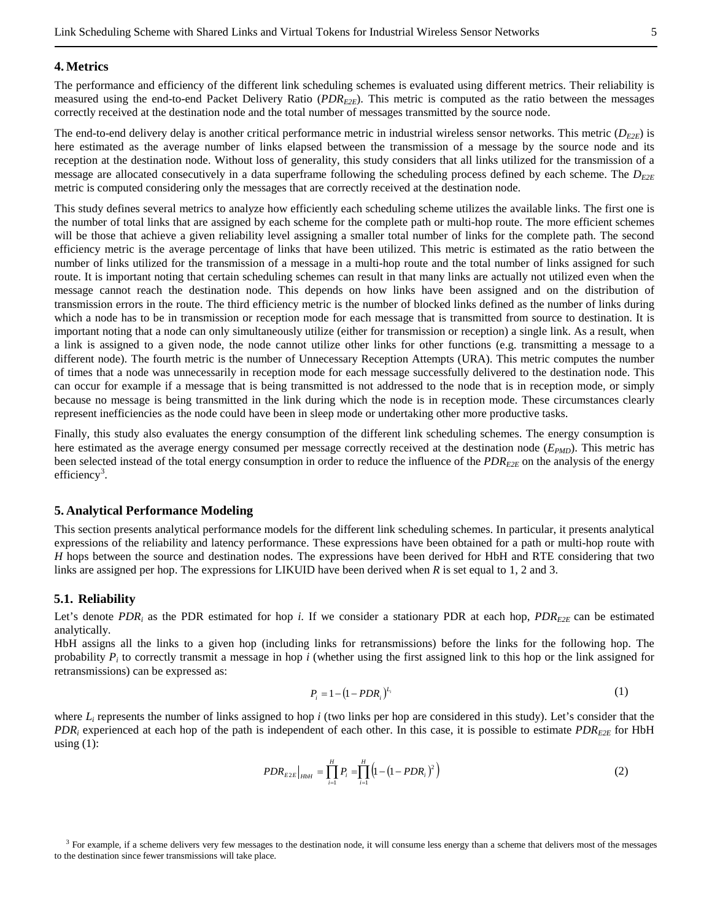#### **4. Metrics**

The performance and efficiency of the different link scheduling schemes is evaluated using different metrics. Their reliability is measured using the end-to-end Packet Delivery Ratio (*PDRE2E*). This metric is computed as the ratio between the messages correctly received at the destination node and the total number of messages transmitted by the source node.

The end-to-end delivery delay is another critical performance metric in industrial wireless sensor networks. This metric  $(D_{E2E})$  is here estimated as the average number of links elapsed between the transmission of a message by the source node and its reception at the destination node. Without loss of generality, this study considers that all links utilized for the transmission of a message are allocated consecutively in a data superframe following the scheduling process defined by each scheme. The  $D_{E2E}$ metric is computed considering only the messages that are correctly received at the destination node.

This study defines several metrics to analyze how efficiently each scheduling scheme utilizes the available links. The first one is the number of total links that are assigned by each scheme for the complete path or multi-hop route. The more efficient schemes will be those that achieve a given reliability level assigning a smaller total number of links for the complete path. The second efficiency metric is the average percentage of links that have been utilized. This metric is estimated as the ratio between the number of links utilized for the transmission of a message in a multi-hop route and the total number of links assigned for such route. It is important noting that certain scheduling schemes can result in that many links are actually not utilized even when the message cannot reach the destination node. This depends on how links have been assigned and on the distribution of transmission errors in the route. The third efficiency metric is the number of blocked links defined as the number of links during which a node has to be in transmission or reception mode for each message that is transmitted from source to destination. It is important noting that a node can only simultaneously utilize (either for transmission or reception) a single link. As a result, when a link is assigned to a given node, the node cannot utilize other links for other functions (e.g. transmitting a message to a different node). The fourth metric is the number of Unnecessary Reception Attempts (URA). This metric computes the number of times that a node was unnecessarily in reception mode for each message successfully delivered to the destination node. This can occur for example if a message that is being transmitted is not addressed to the node that is in reception mode, or simply because no message is being transmitted in the link during which the node is in reception mode. These circumstances clearly represent inefficiencies as the node could have been in sleep mode or undertaking other more productive tasks.

Finally, this study also evaluates the energy consumption of the different link scheduling schemes. The energy consumption is here estimated as the average energy consumed per message correctly received at the destination node  $(E_{PMD})$ . This metric has been selected instead of the total energy consumption in order to reduce the influence of the *PDR<sub>E2E</sub>* on the analysis of the energy efficiency<sup>[3](#page-4-2)</sup>.

# <span id="page-4-0"></span>**5. Analytical Performance Modeling**

This section presents analytical performance models for the different link scheduling schemes. In particular, it presents analytical expressions of the reliability and latency performance. These expressions have been obtained for a path or multi-hop route with *H* hops between the source and destination nodes. The expressions have been derived for HbH and RTE considering that two links are assigned per hop. The expressions for LIKUID have been derived when *R* is set equal to 1, 2 and 3.

## **5.1. Reliability**

Let's denote  $PDR_i$  as the PDR estimated for hop *i*. If we consider a stationary PDR at each hop,  $PDR_{E2E}$  can be estimated analytically.

HbH assigns all the links to a given hop (including links for retransmissions) before the links for the following hop. The probability  $P_i$  to correctly transmit a message in hop  $i$  (whether using the first assigned link to this hop or the link assigned for retransmissions) can be expressed as:

<span id="page-4-1"></span>
$$
P_i = 1 - (1 - PDR_i)^{L_i}
$$
 (1)

where  $L_i$  represents the number of links assigned to hop *i* (two links per hop are considered in this study). Let's consider that the *PDR<sub>i</sub>* experienced at each hop of the path is independent of each other. In this case, it is possible to estimate *PDR<sub>E2E</sub>* for HbH using  $(1)$ :

$$
PDR_{E2E}|_{HbH} = \prod_{i=1}^{H} P_i = \prod_{i=1}^{H} \left( 1 - (1 - PDR_i)^2 \right)
$$
 (2)

<span id="page-4-2"></span><sup>&</sup>lt;sup>3</sup> For example, if a scheme delivers very few messages to the destination node, it will consume less energy than a scheme that delivers most of the messages to the destination since fewer transmissions will take place.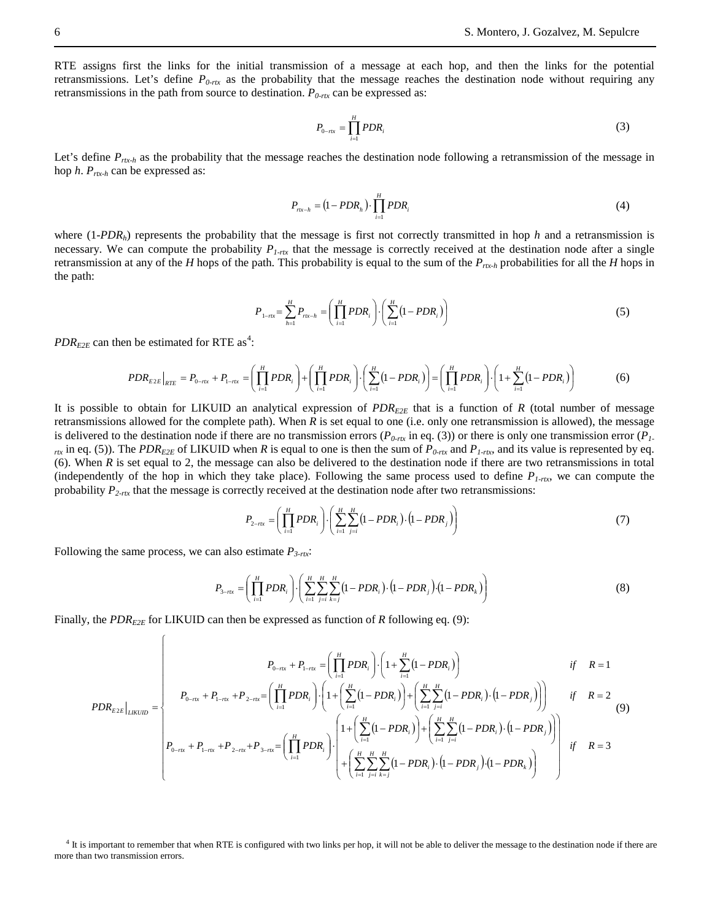RTE assigns first the links for the initial transmission of a message at each hop, and then the links for the potential retransmissions. Let's define  $P_{0-rx}$  as the probability that the message reaches the destination node without requiring any retransmissions in the path from source to destination.  $P_{0-rtx}$  can be expressed as:

<span id="page-5-0"></span>
$$
P_{0-rtx} = \prod_{i=1}^{H} PDR_i \tag{3}
$$

Let's define  $P_{rtx-h}$  as the probability that the message reaches the destination node following a retransmission of the message in hop *h*. *Prtx-h* can be expressed as:

<span id="page-5-2"></span><span id="page-5-1"></span>
$$
P_{rtx-h} = (1 - PDR_h) \cdot \prod_{i=1}^{H} PDR_i
$$
\n
$$
(4)
$$

where  $(1-PDR<sub>h</sub>)$  represents the probability that the message is first not correctly transmitted in hop *h* and a retransmission is necessary. We can compute the probability  $P_{1-rtx}$  that the message is correctly received at the destination node after a single retransmission at any of the *H* hops of the path. This probability is equal to the sum of the  $P_{rx+h}$  probabilities for all the *H* hops in the path:

$$
P_{1-rx} = \sum_{h=1}^{H} P_{rx-h} = \left(\prod_{i=1}^{H} PDR_i\right) \cdot \left(\sum_{i=1}^{H} (1 - PDR_i)\right)
$$
(5)

 $PDR_{E2E}$  can then be estimated for RTE as<sup>[4](#page-5-4)</sup>:

$$
PDR_{E2E}|_{RTE} = P_{0-\text{rx}} + P_{1-\text{rx}} = \left(\prod_{i=1}^{H} PDR_i\right) + \left(\prod_{i=1}^{H} PDR_i\right) \cdot \left(\sum_{i=1}^{H} (1 - PDR_i)\right) = \left(\prod_{i=1}^{H} PDR_i\right) \cdot \left(1 + \sum_{i=1}^{H} (1 - PDR_i)\right) \tag{6}
$$

It is possible to obtain for LIKUID an analytical expression of  $PDR_{E2E}$  that is a function of *R* (total number of message retransmissions allowed for the complete path). When *R* is set equal to one (i.e. only one retransmission is allowed), the message is delivered to the destination node if there are no transmission errors ( $P_{0-rx}$  in eq. [\(3\)](#page-5-0)) or there is only one transmission error ( $P_L$  $r_{tx}$  in eq. [\(5\)](#page-5-1)). The *PDR<sub>E2E</sub>* of LIKUID when *R* is equal to one is then the sum of  $P_{0-rtx}$  and  $P_{1-rtx}$ , and its value is represented by eq. [\(6\)](#page-5-2). When *R* is set equal to 2, the message can also be delivered to the destination node if there are two retransmissions in total (independently of the hop in which they take place). Following the same process used to define  $P_{1-rtx}$ , we can compute the probability  $P_{2-rx}$  that the message is correctly received at the destination node after two retransmissions:

<span id="page-5-5"></span><span id="page-5-3"></span>
$$
P_{2-rx} = \left(\prod_{i=1}^{H} PDR_i\right) \cdot \left(\sum_{i=1}^{H} \sum_{j=i}^{H} (1 - PDR_i) \cdot (1 - PDR_j)\right) \tag{7}
$$

Following the same process, we can also estimate  $P_{3-rtx}$ :

 $\int$ 

$$
P_{3-rtx} = \left(\prod_{i=1}^{H} PDR_i\right) \cdot \left(\sum_{i=1}^{H} \sum_{j=i}^{H} \sum_{k=j}^{H} (1 - PDR_i) \cdot (1 - PDR_j) \cdot (1 - PDR_k)\right)
$$
(8)

Finally, the *PDR<sub>E2E</sub>* for LIKUID can then be expressed as function of *R* following eq. [\(9\):](#page-5-3)

$$
PDR_{E2E}\Big|_{LIKUID} = \begin{cases} P_{0-rx} + P_{1-rx} = \left(\prod_{i=1}^{H} PDR_i\right) \cdot \left(1 + \sum_{i=1}^{H} (1 - PDR_i)\right) & \text{if } R = 1 \\ P_{0-rx} + P_{1-rx} + P_{2-rx} = \left(\prod_{i=1}^{H} PDR_i\right) \cdot \left(1 + \left(\sum_{i=1}^{H} (1 - PDR_i)\right) + \left(\sum_{i=1}^{H} \sum_{j=i}^{H} (1 - PDR_i)\cdot (1 - PDR_j)\right)\right) & \text{if } R = 2 \\ P_{0-rx} + P_{1-rx} + P_{2-rx} + P_{3-rx} = \left(\prod_{i=1}^{H} PDR_i\right) \cdot \left(1 + \left(\sum_{i=1}^{H} (1 - PDR_i)\right) + \left(\sum_{i=1}^{H} \sum_{j=i}^{H} (1 - PDR_j)\cdot (1 - PDR_j)\right)\right) & \text{if } R = 3 \end{cases} (9)
$$

<span id="page-5-4"></span> $4$  It is important to remember that when RTE is configured with two links per hop, it will not be able to deliver the message to the destination node if there are more than two transmission errors.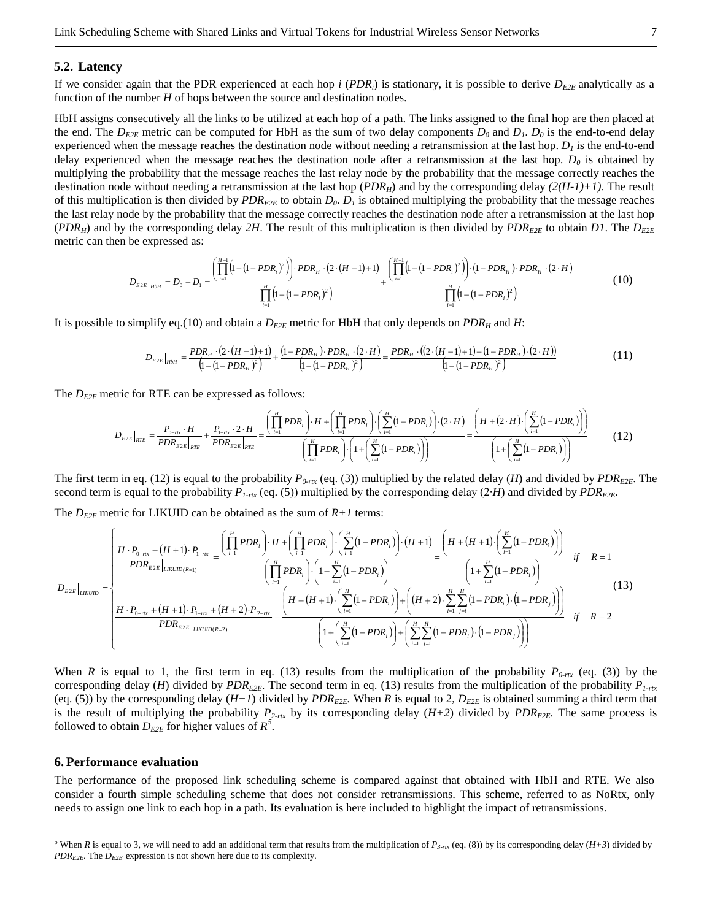#### **5.2. Latency**

If we consider again that the PDR experienced at each hop *i* (*PDR<sub>i</sub>*) is stationary, it is possible to derive  $D_{E2E}$  analytically as a function of the number *H* of hops between the source and destination nodes.

HbH assigns consecutively all the links to be utilized at each hop of a path. The links assigned to the final hop are then placed at the end. The  $D_{E2E}$  metric can be computed for HbH as the sum of two delay components  $D_0$  and  $D_1$ .  $D_0$  is the end-to-end delay experienced when the message reaches the destination node without needing a retransmission at the last hop.  $D<sub>l</sub>$  is the end-to-end delay experienced when the message reaches the destination node after a retransmission at the last hop.  $D_0$  is obtained by multiplying the probability that the message reaches the last relay node by the probability that the message correctly reaches the destination node without needing a retransmission at the last hop  $(PDR<sub>H</sub>)$  and by the corresponding delay  $(2(H-1)+1)$ . The result of this multiplication is then divided by  $PDR_{E2E}$  to obtain  $D_0$ .  $D_1$  is obtained multiplying the probability that the message reaches the last relay node by the probability that the message correctly reaches the destination node after a retransmission at the last hop  $(PDR<sub>H</sub>)$  and by the corresponding delay 2H. The result of this multiplication is then divided by  $PDR<sub>E2E</sub>$  to obtain *D1*. The  $D<sub>E2E</sub>$ metric can then be expressed as:

$$
D_{E2E}|_{HbH} = D_0 + D_1 = \frac{\left(\prod_{i=1}^{H-1} \left(1 - (1 - PDR_i)^2\right)\right) \cdot PDR_{H} \cdot (2 \cdot (H-1) + 1)}{\prod_{i=1}^{H} \left(1 - (1 - PDR_i)^2\right)} + \frac{\left(\prod_{i=1}^{H-1} \left(1 - (1 - PDR_i)^2\right)\right) \cdot (1 - PDR_{H}) \cdot PDR_{H} \cdot (2 \cdot H)}{\prod_{i=1}^{H} \left(1 - (1 - PDR_i)^2\right)}
$$
(10)

It is possible to simplify eq[.\(10\)](#page-6-1) and obtain a  $D_{E2E}$  metric for HbH that only depends on  $PDR<sub>H</sub>$  and *H*:

<span id="page-6-3"></span><span id="page-6-2"></span><span id="page-6-1"></span>
$$
D_{E2E}|_{HbH} = \frac{PDR_{H} \cdot (2 \cdot (H-1) + 1)}{(1 - (1 - PDR_{H})^{2})} + \frac{(1 - PDR_{H}) \cdot PDR_{H} \cdot (2 \cdot H)}{(1 - (1 - PDR_{H})^{2})} = \frac{PDR_{H} \cdot ((2 \cdot (H-1) + 1) + (1 - PDR_{H}) \cdot (2 \cdot H))}{(1 - (1 - PDR_{H})^{2})}
$$
(11)

The  $D_{E2E}$  metric for RTE can be expressed as follows:

$$
D_{E2E}|_{RTE} = \frac{P_{0-nx} \cdot H}{PDR_{E2E}|_{RTE}} + \frac{P_{1-nx} \cdot 2 \cdot H}{PDR_{E2E}|_{RTE}} = \frac{\left(\prod_{i=1}^{H} PDR_i\right) \cdot H + \left(\prod_{i=1}^{H} PDR_i\right) \cdot \left(\sum_{i=1}^{H} (1 - PDR_i)\right) \cdot (2 \cdot H)}{\left(\prod_{i=1}^{H} PDR_i\right) \cdot \left(1 + \left(\sum_{i=1}^{H} (1 - PDR_i)\right)\right)} = \frac{\left(H + (2 \cdot H) \cdot \left(\sum_{i=1}^{H} (1 - PDR_i)\right)\right)}{\left(1 + \left(\sum_{i=1}^{H} (1 - PDR_i)\right)\right)} \tag{12}
$$

The first term in eq. [\(12\)](#page-6-2) is equal to the probability  $P_{0-rtx}$  (eq. [\(3\)](#page-5-0)) multiplied by the related delay (*H*) and divided by *PDR<sub>E2E</sub>*. The second term is equal to the probability *P<sub>1-rtx</sub>* (eq. [\(5](#page-5-1))) multiplied by the corresponding delay (2∙*H*) and divided by *PDR<sub>E2E</sub>*.

The  $D_{E2E}$  metric for LIKUID can be obtained as the sum of  $R+1$  terms:

$$
D_{E2E}|_{LIKUID} = \n\begin{cases}\n\frac{H \cdot P_{0\to rx} + (H+1) \cdot P_{1\to rx}}{PDR_{E2E}|_{LIKUID(R=1)}} = \n\frac{\left(\prod_{i=1}^{H} PDR_i\right) \cdot H + \left(\prod_{i=1}^{H} PDR_i\right) \cdot \left(\sum_{i=1}^{H} (1 - PDR_i)\right) \cdot (H+1)}{\left(\prod_{i=1}^{H} PDR_i\right) \cdot \left(1 + \sum_{i=1}^{H} (1 - PDR_i)\right)} = \n\frac{\left(H + (H+1) \cdot \left(\sum_{i=1}^{H} (1 - PDR_i)\right)\right)}{\left(1 + \sum_{i=1}^{H} (1 - PDR_i)\right)} \quad \text{if} \quad R = 1 \\
\frac{H \cdot P_{0\to rx} + (H+1) \cdot P_{1\to rx} + (H+2) \cdot P_{2\to rx}}{PDR_{E2E}|_{LIKUID(R=2)}} = \n\frac{\left(H + (H+1) \cdot \left(\sum_{i=1}^{H} (1 - PDR_i)\right) + \left((H+2) \cdot \sum_{i=1}^{H} \sum_{j=i}^{H} (1 - PDR_j) \cdot (1 - PDR_j)\right)\right)}{\left(1 + \left(\sum_{i=1}^{H} (1 - PDR_i)\right) + \left(\sum_{i=1}^{H} \sum_{j=i}^{H} (1 - PDR_j) \cdot (1 - PDR_j)\right)\right)} \quad \text{if} \quad R = 2\n\end{cases}
$$
\n(13)

When *R* is equal to 1, the first term in eq. [\(13\)](#page-6-3) results from the multiplication of the probability  $P_{0-rtx}$  (eq. [\(3\)](#page-5-0)) by the corresponding delay (*H*) divided by *PDR<sub>E2E</sub>*. The second term in eq. [\(13\)](#page-6-3) results from the multiplication of the probability  $P_{1-rtx}$ (eq. [\(5\)](#page-5-1)) by the corresponding delay  $(H+1)$  divided by  $PDR_{E2E}$ . When *R* is equal to 2,  $D_{E2E}$  is obtained summing a third term that is the result of multiplying the probability  $P_{2-rtx}$  by its corresponding delay  $(H+2)$  divided by  $PDR_{E2E}$ . The same process is followed to obtain  $D_{E2E}$  for higher values of  $R^5$  $R^5$ .

#### <span id="page-6-0"></span>**6. Performance evaluation**

The performance of the proposed link scheduling scheme is compared against that obtained with HbH and RTE. We also consider a fourth simple scheduling scheme that does not consider retransmissions. This scheme, referred to as NoRtx, only needs to assign one link to each hop in a path. Its evaluation is here included to highlight the impact of retransmissions.

<span id="page-6-4"></span><sup>&</sup>lt;sup>5</sup> When *R* is equal to 3, we will need to add an additional term that results from the multiplication of  $P_{3-rtr}$  (eq[. \(8\)](#page-5-5)) by its corresponding delay (*H+3*) divided by *PDRE2E*. The *DE2E* expression is not shown here due to its complexity.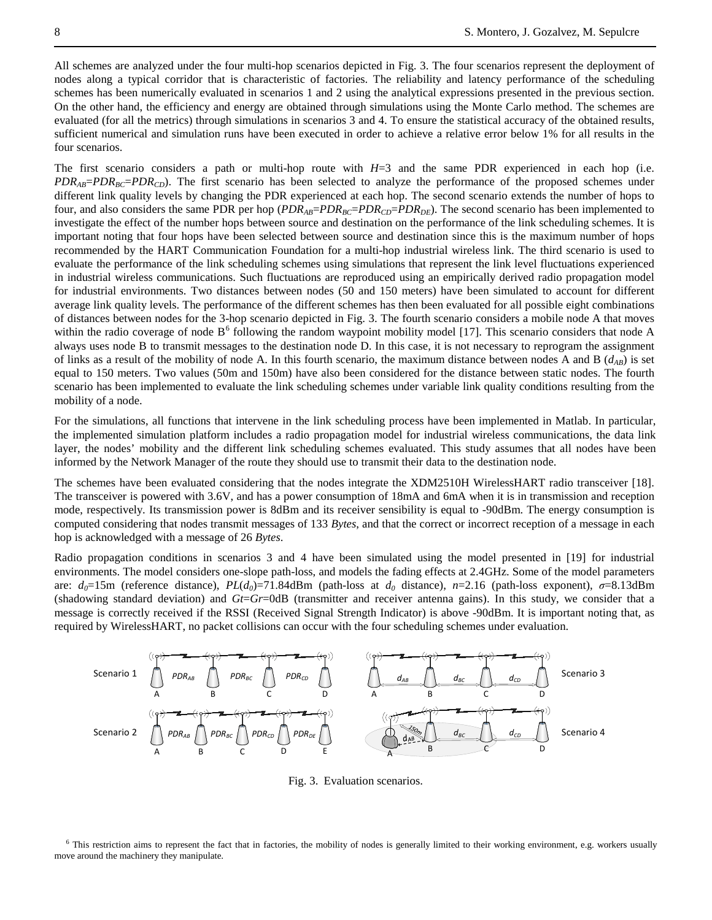All schemes are analyzed under the four multi-hop scenarios depicted in [Fig. 3.](#page-7-0) The four scenarios represent the deployment of nodes along a typical corridor that is characteristic of factories. The reliability and latency performance of the scheduling schemes has been numerically evaluated in scenarios 1 and 2 using the analytical expressions presented in the previous section. On the other hand, the efficiency and energy are obtained through simulations using the Monte Carlo method. The schemes are evaluated (for all the metrics) through simulations in scenarios 3 and 4. To ensure the statistical accuracy of the obtained results, sufficient numerical and simulation runs have been executed in order to achieve a relative error below 1% for all results in the four scenarios.

The first scenario considers a path or multi-hop route with *H*=3 and the same PDR experienced in each hop (i.e.  $PDR_{AB}=PDR_{BC}=PDR_{CD}$ ). The first scenario has been selected to analyze the performance of the proposed schemes under different link quality levels by changing the PDR experienced at each hop. The second scenario extends the number of hops to four, and also considers the same PDR per hop ( $PDR_{AB}=PDR_{BC}=PDR_{CD}=PDR_{DE}$ ). The second scenario has been implemented to investigate the effect of the number hops between source and destination on the performance of the link scheduling schemes. It is important noting that four hops have been selected between source and destination since this is the maximum number of hops recommended by the HART Communication Foundation for a multi-hop industrial wireless link. The third scenario is used to evaluate the performance of the link scheduling schemes using simulations that represent the link level fluctuations experienced in industrial wireless communications. Such fluctuations are reproduced using an empirically derived radio propagation model for industrial environments. Two distances between nodes (50 and 150 meters) have been simulated to account for different average link quality levels. The performance of the different schemes has then been evaluated for all possible eight combinations of distances between nodes for the 3-hop scenario depicted in [Fig. 3.](#page-7-0) The fourth scenario considers a mobile node A that moves within the radio coverage of node  $B^6$  $B^6$  following the random waypoint mobility model [\[17\].](#page-16-15) This scenario considers that node A always uses node B to transmit messages to the destination node D. In this case, it is not necessary to reprogram the assignment of links as a result of the mobility of node A. In this fourth scenario, the maximum distance between nodes A and B  $(d_{AB})$  is set equal to 150 meters. Two values (50m and 150m) have also been considered for the distance between static nodes. The fourth scenario has been implemented to evaluate the link scheduling schemes under variable link quality conditions resulting from the mobility of a node.

For the simulations, all functions that intervene in the link scheduling process have been implemented in Matlab. In particular, the implemented simulation platform includes a radio propagation model for industrial wireless communications, the data link layer, the nodes' mobility and the different link scheduling schemes evaluated. This study assumes that all nodes have been informed by the Network Manager of the route they should use to transmit their data to the destination node.

The schemes have been evaluated considering that the nodes integrate the XDM2510H WirelessHART radio transceiver [\[18\].](#page-16-16)  The transceiver is powered with 3.6V, and has a power consumption of 18mA and 6mA when it is in transmission and reception mode, respectively. Its transmission power is 8dBm and its receiver sensibility is equal to -90dBm. The energy consumption is computed considering that nodes transmit messages of 133 *Bytes*, and that the correct or incorrect reception of a message in each hop is acknowledged with a message of 26 *Bytes*.

Radio propagation conditions in scenarios 3 and 4 have been simulated using the model presented in [\[19\]](#page-16-17) for industrial environments. The model considers one-slope path-loss, and models the fading effects at 2.4GHz. Some of the model parameters are: *d0*=15m (reference distance), *PL*(*d0*)=71.84dBm (path-loss at *d0* distance), *n*=2.16 (path-loss exponent), *σ*=8.13dBm (shadowing standard deviation) and *Gt*=*Gr*=0dB (transmitter and receiver antenna gains). In this study, we consider that a message is correctly received if the RSSI (Received Signal Strength Indicator) is above -90dBm. It is important noting that, as required by WirelessHART, no packet collisions can occur with the four scheduling schemes under evaluation.



Fig. 3. Evaluation scenarios.

<span id="page-7-1"></span><span id="page-7-0"></span> $6$  This restriction aims to represent the fact that in factories, the mobility of nodes is generally limited to their working environment, e.g. workers usually move around the machinery they manipulate.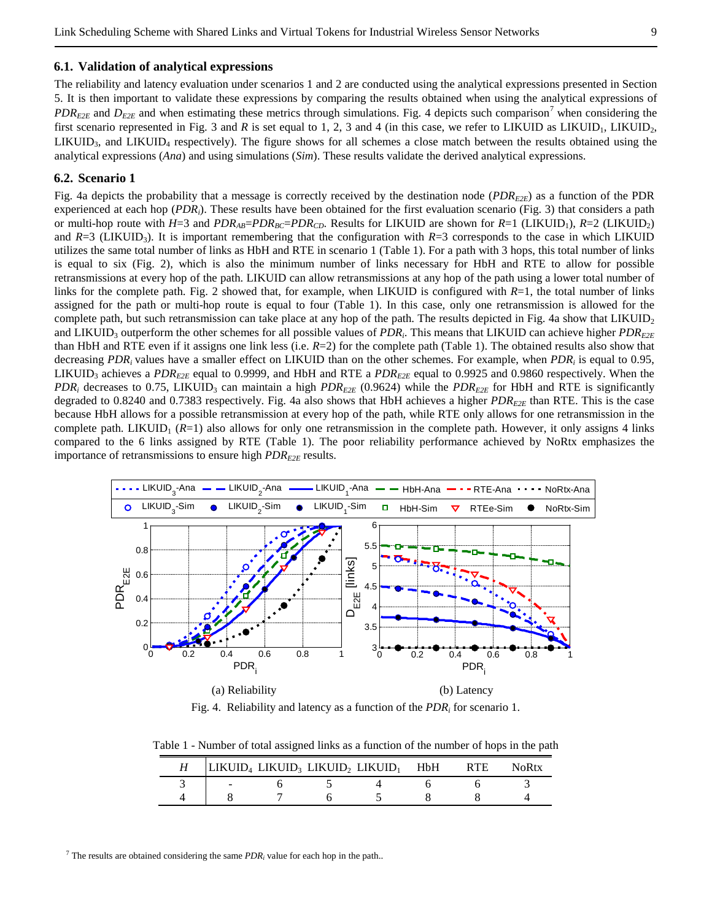## **6.1. Validation of analytical expressions**

The reliability and latency evaluation under scenarios 1 and 2 are conducted using the analytical expressions presented in Section [5.](#page-4-0) It is then important to validate these expressions by comparing the results obtained when using the analytical expressions of *PDR<sub>E2E</sub>* and *D<sub>E2E</sub>* and when estimating these metrics through simulations. [Fig. 4](#page-8-0) depicts such comparison<sup>[7](#page-8-1)</sup> when considering the first scenario represented in [Fig. 3](#page-7-0) and  $R$  is set equal to 1, 2, 3 and 4 (in this case, we refer to LIKUID as LIKUID<sub>1</sub>, LIKUID<sub>2</sub>, LIKUID<sub>3</sub>, and LIKUID<sub>4</sub> respectively). The figure shows for all schemes a close match between the results obtained using the analytical expressions (*Ana*) and using simulations (*Sim*). These results validate the derived analytical expressions.

# **6.2. Scenario 1**

[Fig. 4a](#page-8-0) depicts the probability that a message is correctly received by the destination node ( $PDR_{E2E}$ ) as a function of the PDR experienced at each hop (*PDRi*). These results have been obtained for the first evaluation scenario [\(Fig. 3\)](#page-7-0) that considers a path or multi-hop route with  $H=3$  and  $PDR_{AB}=PDR_{BC}=PDR_{CD}$ . Results for LIKUID are shown for  $R=1$  (LIKUID<sub>1</sub>),  $R=2$  (LIKUID<sub>2</sub>) and  $R=3$  (LIKUID<sub>3</sub>). It is important remembering that the configuration with  $R=3$  corresponds to the case in which LIKUID utilizes the same total number of links as HbH and RTE in scenario 1 (Table 1). For a path with 3 hops, this total number of links is equal to six [\(Fig. 2\)](#page-3-0), which is also the minimum number of links necessary for HbH and RTE to allow for possible retransmissions at every hop of the path. LIKUID can allow retransmissions at any hop of the path using a lower total number of links for the complete path. [Fig. 2](#page-3-0) showed that, for example, when LIKUID is configured with  $R=1$ , the total number of links assigned for the path or multi-hop route is equal to four (Table 1). In this case, only one retransmission is allowed for the complete path, but such retransmission can take place at any hop of the path. The results depicted in [Fig. 4a](#page-8-0) show that LIKUID<sub>2</sub> and LIKUID<sub>3</sub> outperform the other schemes for all possible values of *PDR<sub>i</sub>*. This means that LIKUID can achieve higher *PDR<sub>E2E</sub>* than HbH and RTE even if it assigns one link less (i.e. *R*=2) for the complete path (Table 1). The obtained results also show that decreasing *PDRi* values have a smaller effect on LIKUID than on the other schemes. For example, when *PDRi* is equal to 0.95, LIKUID3 achieves a *PDRE2E* equal to 0.9999, and HbH and RTE a *PDRE2E* equal to 0.9925 and 0.9860 respectively. When the *PDR<sub>i</sub>* decreases to 0.75, LIKUID<sub>3</sub> can maintain a high *PDR<sub>E2E</sub>* (0.9624) while the *PDR<sub>E2E</sub>* for HbH and RTE is significantly degraded to 0.8240 and 0.7383 respectively. [Fig. 4a](#page-8-0) also shows that HbH achieves a higher *PDR<sub>E2E</sub>* than RTE. This is the case because HbH allows for a possible retransmission at every hop of the path, while RTE only allows for one retransmission in the complete path. LIKUID<sub>1</sub> ( $R=1$ ) also allows for only one retransmission in the complete path. However, it only assigns 4 links compared to the 6 links assigned by RTE (Table 1). The poor reliability performance achieved by NoRtx emphasizes the importance of retransmissions to ensure high *PDR<sub>E2E</sub>* results.



Fig. 4. Reliability and latency as a function of the *PDRi* for scenario 1.

<span id="page-8-0"></span>Table 1 - Number of total assigned links as a function of the number of hops in the path

|   |  | $\vert$ LIKUID <sub>4</sub> LIKUID <sub>3</sub> LIKUID <sub>2</sub> LIKUID <sub>1</sub> | <b>HbH</b> | RTE | NoRtx |
|---|--|-----------------------------------------------------------------------------------------|------------|-----|-------|
| - |  |                                                                                         |            |     |       |
|   |  |                                                                                         |            |     |       |

<span id="page-8-1"></span> $<sup>7</sup>$  The results are obtained considering the same  $PDR<sub>i</sub>$  value for each hop in the path..</sup>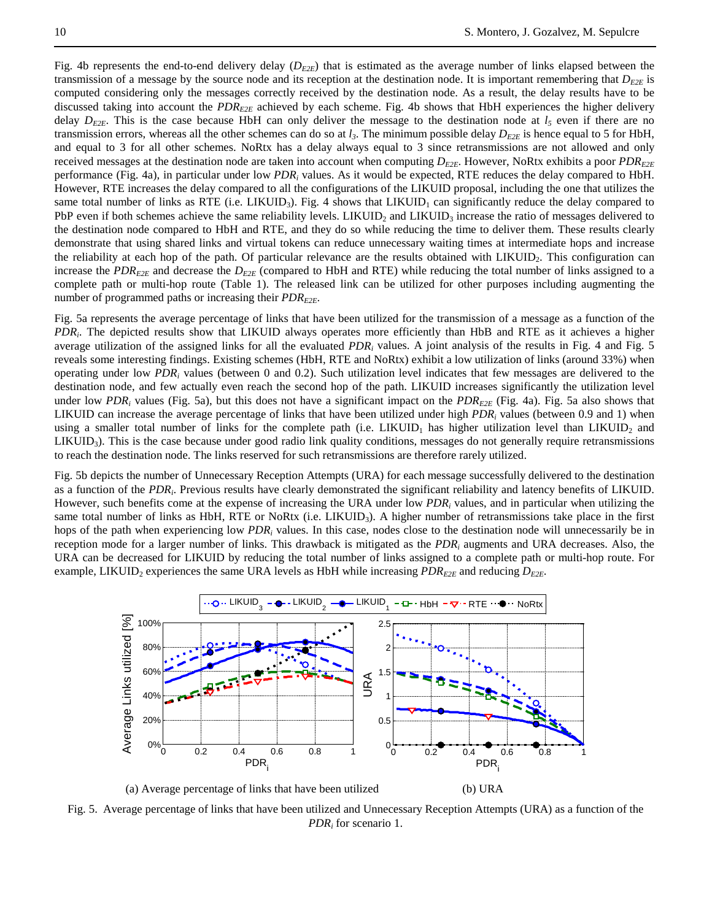[Fig. 4b](#page-8-0) represents the end-to-end delivery delay  $(D_{E2E})$  that is estimated as the average number of links elapsed between the transmission of a message by the source node and its reception at the destination node. It is important remembering that *DE2E* is computed considering only the messages correctly received by the destination node. As a result, the delay results have to be discussed taking into account the *PDR<sub>E2E*</sub> achieved by each scheme. [Fig. 4b](#page-8-0) shows that HbH experiences the higher delivery delay  $D_{E2E}$ . This is the case because HbH can only deliver the message to the destination node at  $l_5$  even if there are no transmission errors, whereas all the other schemes can do so at  $l_3$ . The minimum possible delay  $D_{E2E}$  is hence equal to 5 for HbH, and equal to 3 for all other schemes. NoRtx has a delay always equal to 3 since retransmissions are not allowed and only received messages at the destination node are taken into account when computing  $D_{E2E}$ . However, NoRtx exhibits a poor *PDR<sub>E2E</sub>* performance [\(Fig. 4a](#page-8-0)), in particular under low *PDRi* values. As it would be expected, RTE reduces the delay compared to HbH. However, RTE increases the delay compared to all the configurations of the LIKUID proposal, including the one that utilizes the same total number of links as RTE (i.e. LIKUID<sub>3</sub>). [Fig. 4](#page-8-0) shows that LIKUID<sub>1</sub> can significantly reduce the delay compared to PbP even if both schemes achieve the same reliability levels. LIKUID<sub>2</sub> and LIKUID<sub>3</sub> increase the ratio of messages delivered to the destination node compared to HbH and RTE, and they do so while reducing the time to deliver them. These results clearly demonstrate that using shared links and virtual tokens can reduce unnecessary waiting times at intermediate hops and increase the reliability at each hop of the path. Of particular relevance are the results obtained with  $LIKUID<sub>2</sub>$ . This configuration can increase the *PDR<sub>E2E</sub>* and decrease the *D<sub>E2E</sub>* (compared to HbH and RTE) while reducing the total number of links assigned to a complete path or multi-hop route (Table 1). The released link can be utilized for other purposes including augmenting the number of programmed paths or increasing their *PDR*<sub>E2E</sub>.

[Fig. 5a](#page-9-0) represents the average percentage of links that have been utilized for the transmission of a message as a function of the *PDRi*. The depicted results show that LIKUID always operates more efficiently than HbB and RTE as it achieves a higher average utilization of the assigned links for all the evaluated *PDRi* values. A joint analysis of the results in [Fig. 4](#page-8-0) and [Fig. 5](#page-9-0) reveals some interesting findings. Existing schemes (HbH, RTE and NoRtx) exhibit a low utilization of links (around 33%) when operating under low *PDRi* values (between 0 and 0.2). Such utilization level indicates that few messages are delivered to the destination node, and few actually even reach the second hop of the path. LIKUID increases significantly the utilization level under low *PDR<sub>i</sub>* values [\(Fig. 5a](#page-9-0)), but this does not have a significant impact on the  $PDR_{E2E}$  [\(Fig. 4a](#page-8-0)). [Fig. 5a](#page-9-0) also shows that LIKUID can increase the average percentage of links that have been utilized under high  $PDR<sub>i</sub>$  values (between 0.9 and 1) when using a smaller total number of links for the complete path (i.e.  $LIKUID<sub>1</sub>$  has higher utilization level than  $LIKUID<sub>2</sub>$  and  $LIKUID<sub>3</sub>$ ). This is the case because under good radio link quality conditions, messages do not generally require retransmissions to reach the destination node. The links reserved for such retransmissions are therefore rarely utilized.

[Fig. 5b](#page-9-0) depicts the number of Unnecessary Reception Attempts (URA) for each message successfully delivered to the destination as a function of the *PDRi*. Previous results have clearly demonstrated the significant reliability and latency benefits of LIKUID. However, such benefits come at the expense of increasing the URA under low *PDRi* values, and in particular when utilizing the same total number of links as HbH, RTE or NoRtx (i.e. LIKUID<sub>3</sub>). A higher number of retransmissions take place in the first hops of the path when experiencing low *PDRi* values. In this case, nodes close to the destination node will unnecessarily be in reception mode for a larger number of links. This drawback is mitigated as the *PDRi* augments and URA decreases. Also, the URA can be decreased for LIKUID by reducing the total number of links assigned to a complete path or multi-hop route. For example, LIKUID<sub>2</sub> experiences the same URA levels as HbH while increasing  $PDR_{E2E}$  and reducing  $D_{E2E}$ .



<span id="page-9-0"></span>Fig. 5. Average percentage of links that have been utilized and Unnecessary Reception Attempts (URA) as a function of the *PDRi* for scenario 1.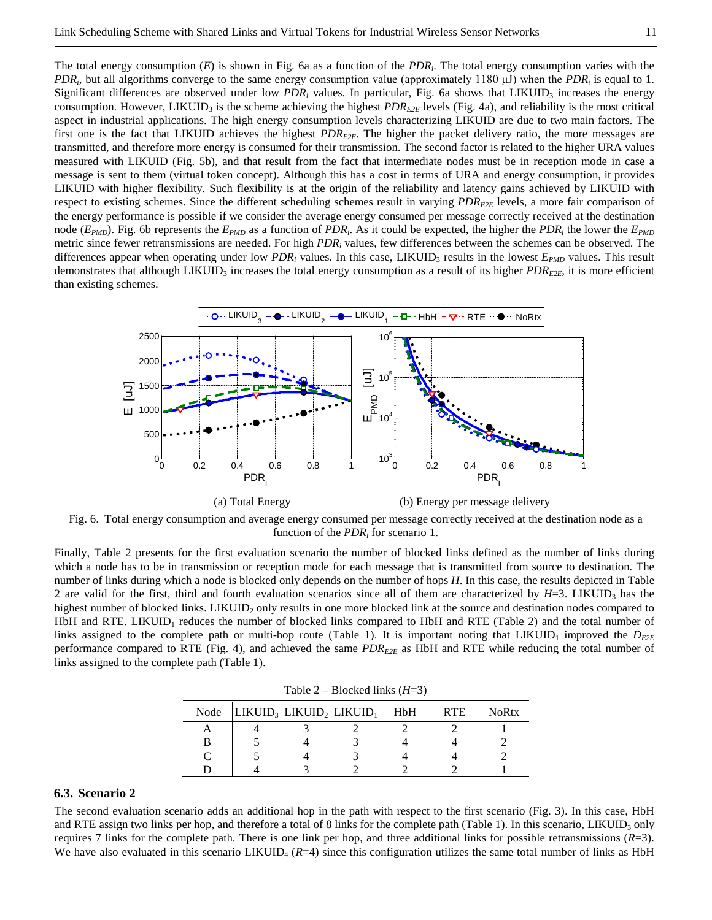The total energy consumption (*E*) is shown in [Fig. 6a](#page-10-0) as a function of the *PDRi*. The total energy consumption varies with the *PDRi*, but all algorithms converge to the same energy consumption value (approximately 1180 μJ) when the *PDRi* is equal to 1. Significant differences are observed under low *PDR<sub>i</sub>* values. In particular, [Fig. 6a](#page-10-0) shows that  $LIKUID<sub>3</sub>$  increases the energy consumption. However, LIKUID<sub>3</sub> is the scheme achieving the highest  $PDR_{E2E}$  levels [\(Fig. 4a](#page-8-0)), and reliability is the most critical aspect in industrial applications. The high energy consumption levels characterizing LIKUID are due to two main factors. The first one is the fact that LIKUID achieves the highest *PDRE2E*. The higher the packet delivery ratio, the more messages are transmitted, and therefore more energy is consumed for their transmission. The second factor is related to the higher URA values measured with LIKUID [\(Fig. 5b](#page-9-0)), and that result from the fact that intermediate nodes must be in reception mode in case a message is sent to them (virtual token concept). Although this has a cost in terms of URA and energy consumption, it provides LIKUID with higher flexibility. Such flexibility is at the origin of the reliability and latency gains achieved by LIKUID with respect to existing schemes. Since the different scheduling schemes result in varying *PDR<sub>E2E</sub>* levels, a more fair comparison of the energy performance is possible if we consider the average energy consumed per message correctly received at the destination node (*EPMD*). [Fig. 6b](#page-10-0) represents the *EPMD* as a function of *PDRi*. As it could be expected, the higher the *PDRi* the lower the *EPMD* metric since fewer retransmissions are needed. For high *PDRi* values, few differences between the schemes can be observed. The differences appear when operating under low *PDR<sub>i</sub>* values. In this case, LIKUID<sub>3</sub> results in the lowest  $E_{PMD}$  values. This result demonstrates that although LIKUID<sub>3</sub> increases the total energy consumption as a result of its higher *PDR<sub>E2E</sub>*, it is more efficient than existing schemes.



<span id="page-10-0"></span>Fig. 6. Total energy consumption and average energy consumed per message correctly received at the destination node as a function of the *PDRi* for scenario 1.

Finally, Table 2 presents for the first evaluation scenario the number of blocked links defined as the number of links during which a node has to be in transmission or reception mode for each message that is transmitted from source to destination. The number of links during which a node is blocked only depends on the number of hops *H*. In this case, the results depicted in Table 2 are valid for the first, third and fourth evaluation scenarios since all of them are characterized by  $H=3$ . LIKUID<sub>3</sub> has the highest number of blocked links. LIKUID<sub>2</sub> only results in one more blocked link at the source and destination nodes compared to HbH and RTE. LIKUID<sub>1</sub> reduces the number of blocked links compared to HbH and RTE (Table 2) and the total number of links assigned to the complete path or multi-hop route (Table 1). It is important noting that  $LIKUID_1$  improved the  $D_{E2E}$ performance compared to RTE [\(Fig. 4\)](#page-8-0), and achieved the same *PDR<sub>E2E</sub>* as HbH and RTE while reducing the total number of links assigned to the complete path (Table 1).

| Table 2 – Blocked links $(H=3)$ |  |  |  |
|---------------------------------|--|--|--|
|---------------------------------|--|--|--|

| Node |  | $LIKUID_3$ LIKUID <sub>2</sub> LIKUID <sub>1</sub> HbH | <b>RTE</b> | <b>NoRtx</b> |
|------|--|--------------------------------------------------------|------------|--------------|
|      |  |                                                        |            |              |
|      |  |                                                        |            |              |
|      |  |                                                        |            |              |
|      |  |                                                        |            |              |

## **6.3. Scenario 2**

The second evaluation scenario adds an additional hop in the path with respect to the first scenario [\(Fig. 3\)](#page-7-0). In this case, HbH and RTE assign two links per hop, and therefore a total of 8 links for the complete path (Table 1). In this scenario,  $LIKUID<sub>3</sub>$  only requires 7 links for the complete path. There is one link per hop, and three additional links for possible retransmissions (*R*=3). We have also evaluated in this scenario LIKUID<sub>4</sub>  $(R=4)$  since this configuration utilizes the same total number of links as HbH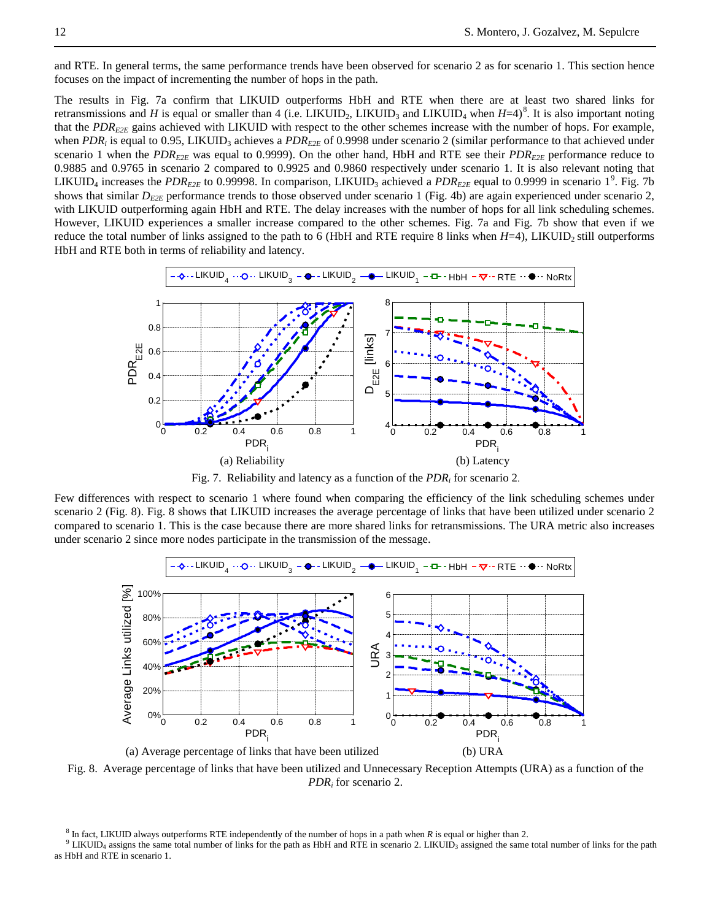and RTE. In general terms, the same performance trends have been observed for scenario 2 as for scenario 1. This section hence focuses on the impact of incrementing the number of hops in the path.

The results in [Fig. 7a](#page-11-0) confirm that LIKUID outperforms HbH and RTE when there are at least two shared links for retransmissions and *H* is equal or smaller than 4 (i.e. LIKUID<sub>2</sub>, LIKUID<sub>3</sub> and LIKUID<sub>4</sub> when  $H=4$ <sup>[8](#page-11-2)</sup>. It is also important noting that the *PDRE2E* gains achieved with LIKUID with respect to the other schemes increase with the number of hops. For example, when *PDR<sub>i</sub>* is equal to 0.95, LIKUID<sub>3</sub> achieves a *PDR<sub>E2E</sub>* of 0.9998 under scenario 2 (similar performance to that achieved under scenario 1 when the *PDR<sub>E2E</sub>* was equal to 0.9999). On the other hand, HbH and RTE see their *PDR<sub>E2E</sub>* performance reduce to 0.9885 and 0.9765 in scenario 2 compared to 0.9925 and 0.9860 respectively under scenario 1. It is also relevant noting that LIKUID<sub>4</sub> increases the  $PDR_{E2E}$  to 0.[9](#page-11-3)9998. In comparison, LIKUID<sub>3</sub> achieved a  $PDR_{E2E}$  equal to 0.9999 in scenario 1<sup>9</sup>. [Fig. 7b](#page-11-0) shows that similar *D<sub>E2E</sub>* performance trends to those observed under scenario 1 [\(Fig. 4b](#page-8-0)) are again experienced under scenario 2, with LIKUID outperforming again HbH and RTE. The delay increases with the number of hops for all link scheduling schemes. However, LIKUID experiences a smaller increase compared to the other schemes. [Fig. 7a](#page-11-0) and [Fig. 7b](#page-11-0) show that even if we reduce the total number of links assigned to the path to 6 (HbH and RTE require 8 links when  $H=4$ ), LIKUID<sub>2</sub> still outperforms HbH and RTE both in terms of reliability and latency.



Fig. 7. Reliability and latency as a function of the *PDRi* for scenario 2.

<span id="page-11-0"></span>Few differences with respect to scenario 1 where found when comparing the efficiency of the link scheduling schemes under scenario 2 [\(Fig. 8\)](#page-11-1). [Fig. 8](#page-11-1) shows that LIKUID increases the average percentage of links that have been utilized under scenario 2 compared to scenario 1. This is the case because there are more shared links for retransmissions. The URA metric also increases under scenario 2 since more nodes participate in the transmission of the message.



<span id="page-11-1"></span>Fig. 8. Average percentage of links that have been utilized and Unnecessary Reception Attempts (URA) as a function of the *PDRi* for scenario 2.

<span id="page-11-3"></span><span id="page-11-2"></span> $\frac{8}{9}$  In fact, LIKUID always outperforms RTE independently of the number of hops in a path when R is equal or higher than 2.<br><sup>9</sup> LIKUID<sub>4</sub> assigns the same total number of links for the path as HbH and RTE in scenario as HbH and RTE in scenario 1.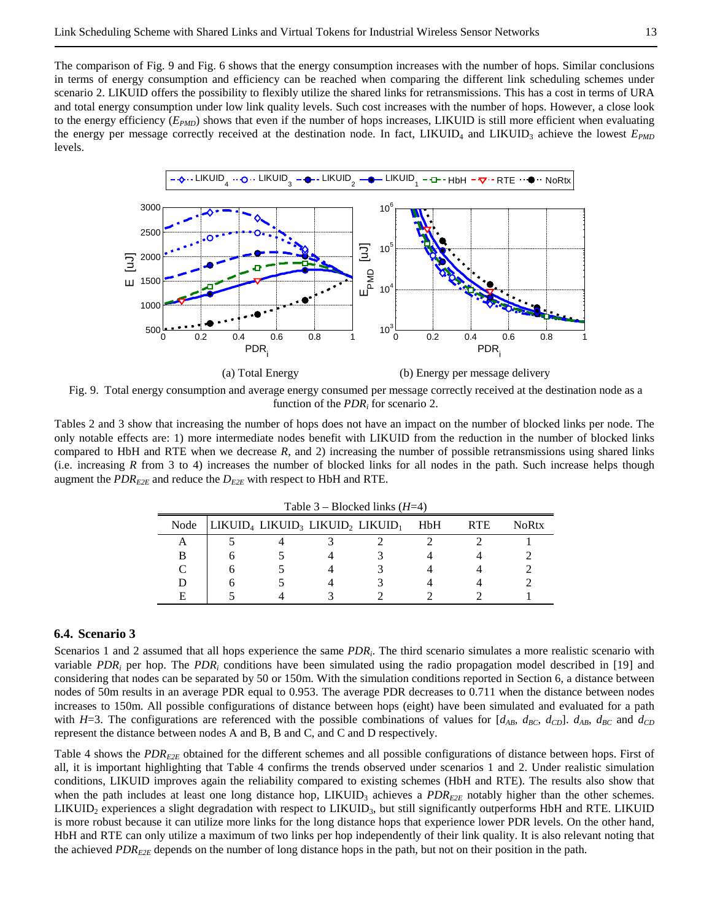The comparison of [Fig. 9](#page-12-0) and [Fig. 6](#page-10-0) shows that the energy consumption increases with the number of hops. Similar conclusions in terms of energy consumption and efficiency can be reached when comparing the different link scheduling schemes under scenario 2. LIKUID offers the possibility to flexibly utilize the shared links for retransmissions. This has a cost in terms of URA and total energy consumption under low link quality levels. Such cost increases with the number of hops. However, a close look to the energy efficiency ( $E_{PMD}$ ) shows that even if the number of hops increases, LIKUID is still more efficient when evaluating the energy per message correctly received at the destination node. In fact,  $LIKUID<sub>4</sub>$  and  $LIKUID<sub>3</sub>$  achieve the lowest  $E<sub>PID</sub>$ levels.



<span id="page-12-0"></span>Fig. 9. Total energy consumption and average energy consumed per message correctly received at the destination node as a function of the *PDRi* for scenario 2.

Tables 2 and 3 show that increasing the number of hops does not have an impact on the number of blocked links per node. The only notable effects are: 1) more intermediate nodes benefit with LIKUID from the reduction in the number of blocked links compared to HbH and RTE when we decrease *R*, and 2) increasing the number of possible retransmissions using shared links (i.e. increasing *R* from 3 to 4) increases the number of blocked links for all nodes in the path. Such increase helps though augment the  $PDR_{E2E}$  and reduce the  $D_{E2E}$  with respect to HbH and RTE.

| Table 3 – Blocked links $(H=4)$ |                                             |  |  |  |     |            |              |  |  |
|---------------------------------|---------------------------------------------|--|--|--|-----|------------|--------------|--|--|
|                                 | Node $ LIKUID_4 LIKUID_3 LIKUID_2 LIKUID_1$ |  |  |  | HbH | <b>RTE</b> | <b>NoRtx</b> |  |  |
|                                 |                                             |  |  |  |     |            |              |  |  |
|                                 |                                             |  |  |  |     |            |              |  |  |
|                                 |                                             |  |  |  |     |            |              |  |  |
|                                 |                                             |  |  |  |     |            |              |  |  |
|                                 |                                             |  |  |  |     |            |              |  |  |

# **6.4. Scenario 3**

Scenarios 1 and 2 assumed that all hops experience the same *PDRi*. The third scenario simulates a more realistic scenario with variable *PDR<sub>i</sub>* per hop. The *PDR<sub>i</sub>* conditions have been simulated using the radio propagation model described in [\[19\]](#page-16-17) and considering that nodes can be separated by 50 or 150m. With the simulation conditions reported in Section [6,](#page-6-0) a distance between nodes of 50m results in an average PDR equal to 0.953. The average PDR decreases to 0.711 when the distance between nodes increases to 150m. All possible configurations of distance between hops (eight) have been simulated and evaluated for a path with *H*=3. The configurations are referenced with the possible combinations of values for  $[d_{AB}, d_{BC}, d_{CD}]$ .  $d_{AB}, d_{BC}$  and  $d_{CD}$ represent the distance between nodes A and B, B and C, and C and D respectively.

Table 4 shows the *PDR<sub>E2E</sub>* obtained for the different schemes and all possible configurations of distance between hops. First of all, it is important highlighting that Table 4 confirms the trends observed under scenarios 1 and 2. Under realistic simulation conditions, LIKUID improves again the reliability compared to existing schemes (HbH and RTE). The results also show that when the path includes at least one long distance hop, LIKUID<sub>3</sub> achieves a *PDR<sub>E2E</sub>* notably higher than the other schemes.  $\text{LIKUID}_2$  experiences a slight degradation with respect to  $\text{LIKUID}_3$ , but still significantly outperforms HbH and RTE. LIKUID is more robust because it can utilize more links for the long distance hops that experience lower PDR levels. On the other hand, HbH and RTE can only utilize a maximum of two links per hop independently of their link quality. It is also relevant noting that the achieved *PDRE2E* depends on the number of long distance hops in the path, but not on their position in the path.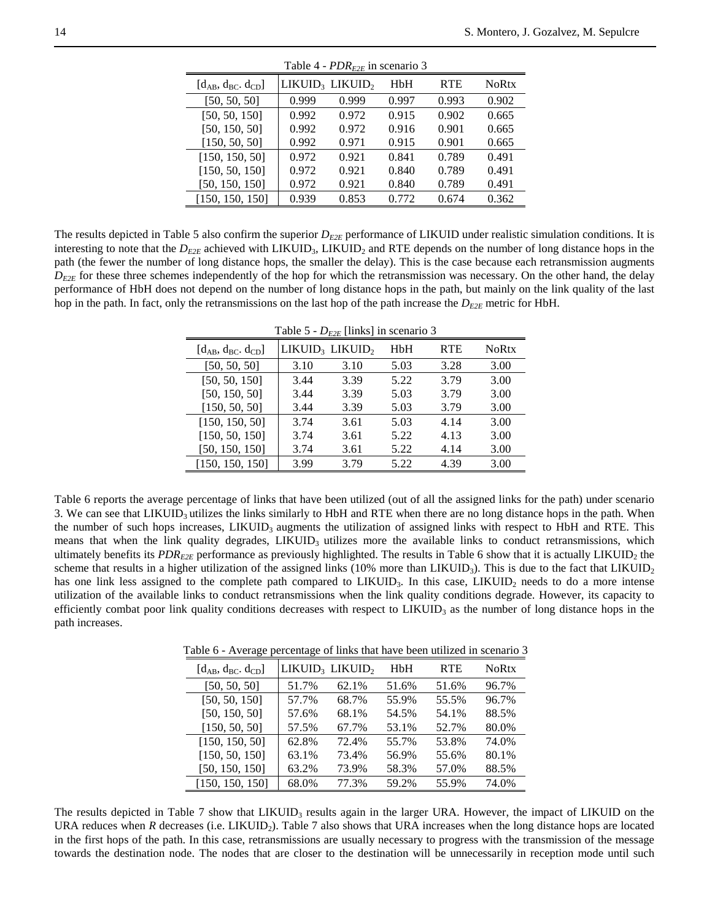|                            | <b>TAULE 4 - I DIVE THE SUCHALLY J</b> |                                         |            |            |              |  |  |  |
|----------------------------|----------------------------------------|-----------------------------------------|------------|------------|--------------|--|--|--|
| $[d_{AB}, d_{BC}. d_{CD}]$ |                                        | LIKUID <sub>3</sub> LIKUID <sub>2</sub> | <b>HbH</b> | <b>RTE</b> | <b>NoRtx</b> |  |  |  |
| [50, 50, 50]               | 0.999                                  | 0.999                                   | 0.997      | 0.993      | 0.902        |  |  |  |
| [50, 50, 150]              | 0.992                                  | 0.972                                   | 0.915      | 0.902      | 0.665        |  |  |  |
| [50, 150, 50]              | 0.992                                  | 0.972                                   | 0.916      | 0.901      | 0.665        |  |  |  |
| [150, 50, 50]              | 0.992                                  | 0.971                                   | 0.915      | 0.901      | 0.665        |  |  |  |
| [150, 150, 50]             | 0.972                                  | 0.921                                   | 0.841      | 0.789      | 0.491        |  |  |  |
| [150, 50, 150]             | 0.972                                  | 0.921                                   | 0.840      | 0.789      | 0.491        |  |  |  |
| [50, 150, 150]             | 0.972                                  | 0.921                                   | 0.840      | 0.789      | 0.491        |  |  |  |
| [150, 150, 150]            | 0.939                                  | 0.853                                   | 0.772      | 0.674      | 0.362        |  |  |  |

Table 4 - *PDRE2E* in scenario 3

The results depicted in Table 5 also confirm the superior  $D_{E2E}$  performance of LIKUID under realistic simulation conditions. It is interesting to note that the  $D_{E2E}$  achieved with LIKUID<sub>3</sub>, LIKUID<sub>2</sub> and RTE depends on the number of long distance hops in the path (the fewer the number of long distance hops, the smaller the delay). This is the case because each retransmission augments  $D_{E2E}$  for these three schemes independently of the hop for which the retransmission was necessary. On the other hand, the delay performance of HbH does not depend on the number of long distance hops in the path, but mainly on the link quality of the last hop in the path. In fact, only the retransmissions on the last hop of the path increase the  $D_{E2E}$  metric for HbH.

| Table 5 - $D_{E2E}$ [links] in scenario 3 |      |                                         |            |            |              |  |  |  |
|-------------------------------------------|------|-----------------------------------------|------------|------------|--------------|--|--|--|
| $[d_{AB}, d_{BC}. d_{CD}]$                |      | LIKUID <sub>3</sub> LIKUID <sub>2</sub> | <b>HbH</b> | <b>RTE</b> | <b>NoRtx</b> |  |  |  |
| [50, 50, 50]                              | 3.10 | 3.10                                    | 5.03       | 3.28       | 3.00         |  |  |  |
| [50, 50, 150]                             | 3.44 | 3.39                                    | 5.22       | 3.79       | 3.00         |  |  |  |
| [50, 150, 50]                             | 3.44 | 3.39                                    | 5.03       | 3.79       | 3.00         |  |  |  |
| [150, 50, 50]                             | 3.44 | 3.39                                    | 5.03       | 3.79       | 3.00         |  |  |  |
| [150, 150, 50]                            | 3.74 | 3.61                                    | 5.03       | 4.14       | 3.00         |  |  |  |
| [150, 50, 150]                            | 3.74 | 3.61                                    | 5.22       | 4.13       | 3.00         |  |  |  |
| [50, 150, 150]                            | 3.74 | 3.61                                    | 5.22       | 4.14       | 3.00         |  |  |  |
| [150, 150, 150]                           | 3.99 | 3.79                                    | 5.22       | 4.39       | 3.00         |  |  |  |

Table 6 reports the average percentage of links that have been utilized (out of all the assigned links for the path) under scenario 3. We can see that LIKUID<sub>3</sub> utilizes the links similarly to HbH and RTE when there are no long distance hops in the path. When the number of such hops increases,  $LIKUID<sub>3</sub>$  augments the utilization of assigned links with respect to HbH and RTE. This means that when the link quality degrades, LIKUID<sub>3</sub> utilizes more the available links to conduct retransmissions, which ultimately benefits its *PDR<sub>E2E</sub>* performance as previously highlighted. The results in Table 6 show that it is actually LIKUID<sub>2</sub> the scheme that results in a higher utilization of the assigned links (10% more than  $LIKUID<sub>3</sub>$ ). This is due to the fact that  $LIKUID<sub>2</sub>$ has one link less assigned to the complete path compared to  $LIKUID<sub>3</sub>$ . In this case,  $LIKUID<sub>2</sub>$  needs to do a more intense utilization of the available links to conduct retransmissions when the link quality conditions degrade. However, its capacity to efficiently combat poor link quality conditions decreases with respect to  $LIKUID<sub>3</sub>$  as the number of long distance hops in the path increases.

Table 6 - Average percentage of links that have been utilized in scenario 3

| $[d_{AB}, d_{BC}. d_{CD}]$ |       | LIKUID <sub>3</sub> LIKUID <sub>2</sub> | HbH   | <b>RTE</b> | <b>NoRtx</b> |
|----------------------------|-------|-----------------------------------------|-------|------------|--------------|
| [50, 50, 50]               | 51.7% | 62.1%                                   | 51.6% | 51.6%      | 96.7%        |
| [50, 50, 150]              | 57.7% | 68.7%                                   | 55.9% | 55.5%      | 96.7%        |
| [50, 150, 50]              | 57.6% | 68.1%                                   | 54.5% | 54.1%      | 88.5%        |
| [150, 50, 50]              | 57.5% | 67.7%                                   | 53.1% | 52.7%      | 80.0%        |
| [150, 150, 50]             | 62.8% | 72.4%                                   | 55.7% | 53.8%      | 74.0%        |
| [150, 50, 150]             | 63.1% | 73.4%                                   | 56.9% | 55.6%      | 80.1%        |
| [50, 150, 150]             | 63.2% | 73.9%                                   | 58.3% | 57.0%      | 88.5%        |
| [150, 150, 150]            | 68.0% | 77.3%                                   | 59.2% | 55.9%      | 74.0%        |

The results depicted in Table 7 show that  $LIKUID_3$  results again in the larger URA. However, the impact of LIKUID on the URA reduces when  $R$  decreases (i.e. LIKUID<sub>2</sub>). Table 7 also shows that URA increases when the long distance hops are located in the first hops of the path. In this case, retransmissions are usually necessary to progress with the transmission of the message towards the destination node. The nodes that are closer to the destination will be unnecessarily in reception mode until such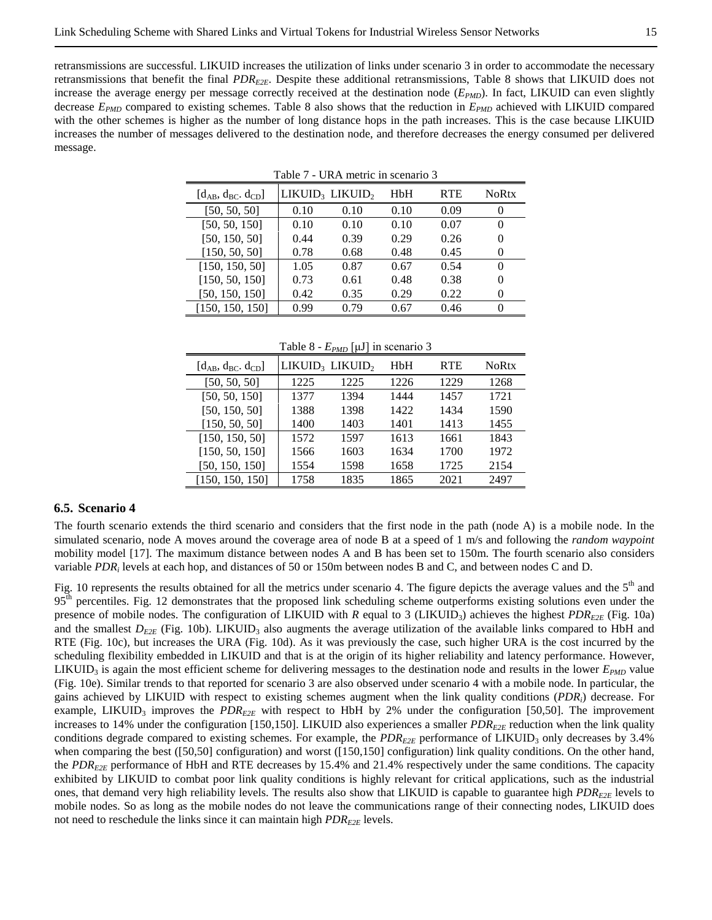retransmissions are successful. LIKUID increases the utilization of links under scenario 3 in order to accommodate the necessary retransmissions that benefit the final *PDRE2E*. Despite these additional retransmissions, Table 8 shows that LIKUID does not increase the average energy per message correctly received at the destination node  $(E_{PMD})$ . In fact, LIKUID can even slightly decrease *EPMD* compared to existing schemes. Table 8 also shows that the reduction in *EPMD* achieved with LIKUID compared with the other schemes is higher as the number of long distance hops in the path increases. This is the case because LIKUID increases the number of messages delivered to the destination node, and therefore decreases the energy consumed per delivered message.

| raviv 1<br>oly moute in scenario 5 |      |                 |      |            |              |  |
|------------------------------------|------|-----------------|------|------------|--------------|--|
| $[d_{AB}, d_{BC}, d_{CD}]$         |      | LIKUID, LIKUID, | HbH  | <b>RTE</b> | <b>NoRtx</b> |  |
| [50, 50, 50]                       | 0.10 | 0.10            | 0.10 | 0.09       |              |  |
| [50, 50, 150]                      | 0.10 | 0.10            | 0.10 | 0.07       |              |  |
| [50, 150, 50]                      | 0.44 | 0.39            | 0.29 | 0.26       |              |  |
| [150, 50, 50]                      | 0.78 | 0.68            | 0.48 | 0.45       |              |  |
| [150, 150, 50]                     | 1.05 | 0.87            | 0.67 | 0.54       |              |  |
| [150, 50, 150]                     | 0.73 | 0.61            | 0.48 | 0.38       |              |  |
| [50, 150, 150]                     | 0.42 | 0.35            | 0.29 | 0.22       |              |  |
| [150, 150, 150]                    | 0.99 | 0.79            | 0.67 | 0.46       |              |  |

Table 7 - URA metric in scenario 3

Table 8 - *EPMD* [μJ] in scenario 3

| $[d_{AB}, d_{BC}. d_{CD}]$ |      | LIKUID <sub>3</sub> LIKUID <sub>2</sub> | HbH  | <b>RTE</b> | NoRtx |
|----------------------------|------|-----------------------------------------|------|------------|-------|
| [50, 50, 50]               | 1225 | 1225                                    | 1226 | 1229       | 1268  |
| [50, 50, 150]              | 1377 | 1394                                    | 1444 | 1457       | 1721  |
| [50, 150, 50]              | 1388 | 1398                                    | 1422 | 1434       | 1590  |
| [150, 50, 50]              | 1400 | 1403                                    | 1401 | 1413       | 1455  |
| [150, 150, 50]             | 1572 | 1597                                    | 1613 | 1661       | 1843  |
| [150, 50, 150]             | 1566 | 1603                                    | 1634 | 1700       | 1972  |
| [50, 150, 150]             | 1554 | 1598                                    | 1658 | 1725       | 2154  |
| [150, 150, 150]            | 1758 | 1835                                    | 1865 | 2021       | 2497  |

#### **6.5. Scenario 4**

The fourth scenario extends the third scenario and considers that the first node in the path (node A) is a mobile node. In the simulated scenario, node A moves around the coverage area of node B at a speed of 1 m/s and following the *random waypoint*  mobility model [\[17\].](#page-16-15) The maximum distance between nodes A and B has been set to 150m. The fourth scenario also considers variable *PDRi* levels at each hop, and distances of 50 or 150m between nodes B and C, and between nodes C and D.

[Fig. 10](#page-15-1) represents the results obtained for all the metrics under scenario 4. The figure depicts the average values and the  $5<sup>th</sup>$  and  $95<sup>th</sup>$  percentiles. Fig. 12 demonstrates that the proposed link scheduling scheme outperforms existing solutions even under the presence of mobile nodes. The configuration of LIKUID with *R* equal to 3 (LIKUID<sub>3</sub>) achieves the highest *PDR<sub>E2E</sub>* [\(Fig. 10a](#page-15-1)) and the smallest  $D_{E2E}$  [\(Fig. 10b](#page-15-1)). LIKUID<sub>3</sub> also augments the average utilization of the available links compared to HbH and RTE [\(Fig. 10c](#page-15-1)), but increases the URA [\(Fig. 10d](#page-15-1)). As it was previously the case, such higher URA is the cost incurred by the scheduling flexibility embedded in LIKUID and that is at the origin of its higher reliability and latency performance. However, LIKUID<sub>3</sub> is again the most efficient scheme for delivering messages to the destination node and results in the lower  $E_{PMD}$  value [\(Fig. 10e](#page-15-1)). Similar trends to that reported for scenario 3 are also observed under scenario 4 with a mobile node. In particular, the gains achieved by LIKUID with respect to existing schemes augment when the link quality conditions (*PDRi*) decrease. For example, LIKUID<sub>3</sub> improves the *PDR<sub>E2E</sub>* with respect to HbH by 2% under the configuration [50,50]. The improvement increases to 14% under the configuration [150,150]. LIKUID also experiences a smaller  $PDR_{E2E}$  reduction when the link quality conditions degrade compared to existing schemes. For example, the  $PDR_{E2E}$  performance of LIKUID<sub>3</sub> only decreases by 3.4% when comparing the best ([50,50] configuration) and worst ([150,150] configuration) link quality conditions. On the other hand, the *PDR<sub>E2E</sub>* performance of HbH and RTE decreases by 15.4% and 21.4% respectively under the same conditions. The capacity exhibited by LIKUID to combat poor link quality conditions is highly relevant for critical applications, such as the industrial ones, that demand very high reliability levels. The results also show that LIKUID is capable to guarantee high *PDR<sub>E2E</sub>* levels to mobile nodes. So as long as the mobile nodes do not leave the communications range of their connecting nodes, LIKUID does not need to reschedule the links since it can maintain high *PDR<sub>E2E</sub>* levels.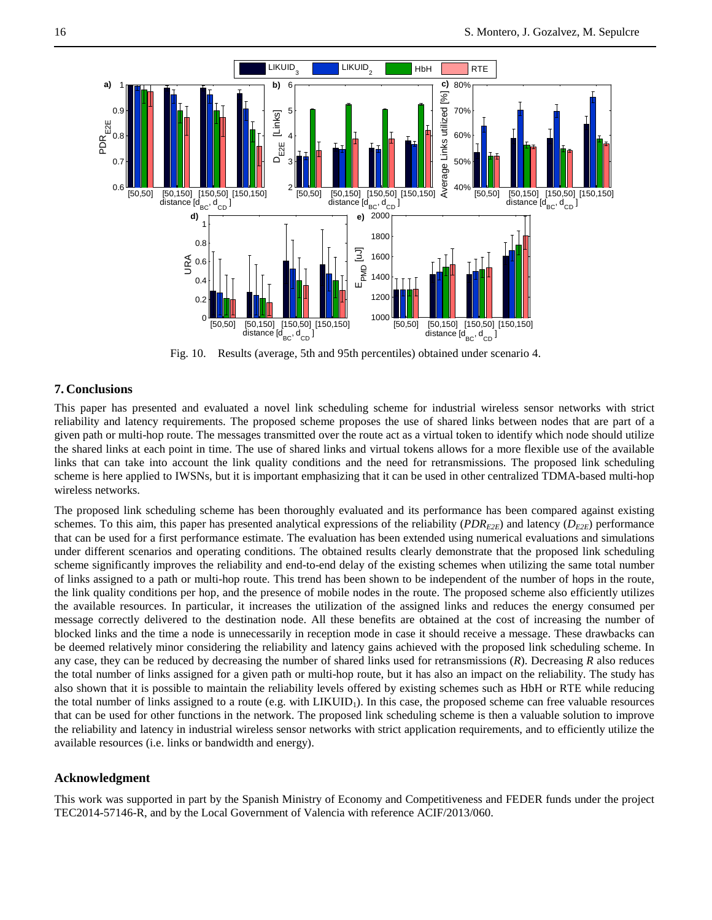

Fig. 10. Results (average, 5th and 95th percentiles) obtained under scenario 4.

# <span id="page-15-1"></span><span id="page-15-0"></span>**7. Conclusions**

This paper has presented and evaluated a novel link scheduling scheme for industrial wireless sensor networks with strict reliability and latency requirements. The proposed scheme proposes the use of shared links between nodes that are part of a given path or multi-hop route. The messages transmitted over the route act as a virtual token to identify which node should utilize the shared links at each point in time. The use of shared links and virtual tokens allows for a more flexible use of the available links that can take into account the link quality conditions and the need for retransmissions. The proposed link scheduling scheme is here applied to IWSNs, but it is important emphasizing that it can be used in other centralized TDMA-based multi-hop wireless networks.

The proposed link scheduling scheme has been thoroughly evaluated and its performance has been compared against existing schemes. To this aim, this paper has presented analytical expressions of the reliability ( $PDR_{E2E}$ ) and latency ( $D_{E2E}$ ) performance that can be used for a first performance estimate. The evaluation has been extended using numerical evaluations and simulations under different scenarios and operating conditions. The obtained results clearly demonstrate that the proposed link scheduling scheme significantly improves the reliability and end-to-end delay of the existing schemes when utilizing the same total number of links assigned to a path or multi-hop route. This trend has been shown to be independent of the number of hops in the route, the link quality conditions per hop, and the presence of mobile nodes in the route. The proposed scheme also efficiently utilizes the available resources. In particular, it increases the utilization of the assigned links and reduces the energy consumed per message correctly delivered to the destination node. All these benefits are obtained at the cost of increasing the number of blocked links and the time a node is unnecessarily in reception mode in case it should receive a message. These drawbacks can be deemed relatively minor considering the reliability and latency gains achieved with the proposed link scheduling scheme. In any case, they can be reduced by decreasing the number of shared links used for retransmissions (*R*). Decreasing *R* also reduces the total number of links assigned for a given path or multi-hop route, but it has also an impact on the reliability. The study has also shown that it is possible to maintain the reliability levels offered by existing schemes such as HbH or RTE while reducing the total number of links assigned to a route (e.g. with LIKUID<sub>1</sub>). In this case, the proposed scheme can free valuable resources that can be used for other functions in the network. The proposed link scheduling scheme is then a valuable solution to improve the reliability and latency in industrial wireless sensor networks with strict application requirements, and to efficiently utilize the available resources (i.e. links or bandwidth and energy).

#### **Acknowledgment**

This work was supported in part by the Spanish Ministry of Economy and Competitiveness and FEDER funds under the project TEC2014-57146-R, and by the Local Government of Valencia with reference ACIF/2013/060.